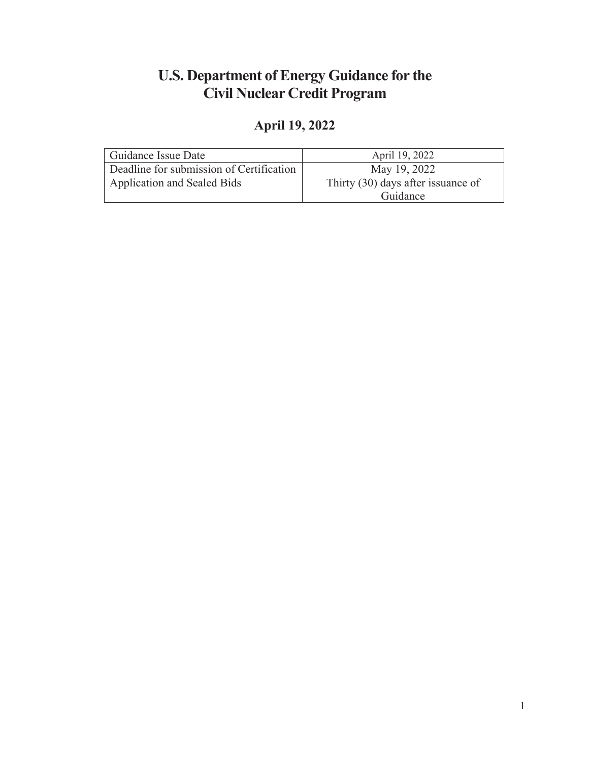## **U.S. Department of Energy Guidance for the Civil Nuclear Credit Program**

# **April 19, 2022**

| Guidance Issue Date                      | April 19, 2022                     |
|------------------------------------------|------------------------------------|
| Deadline for submission of Certification | May 19, 2022                       |
| Application and Sealed Bids              | Thirty (30) days after issuance of |
|                                          | Guidance                           |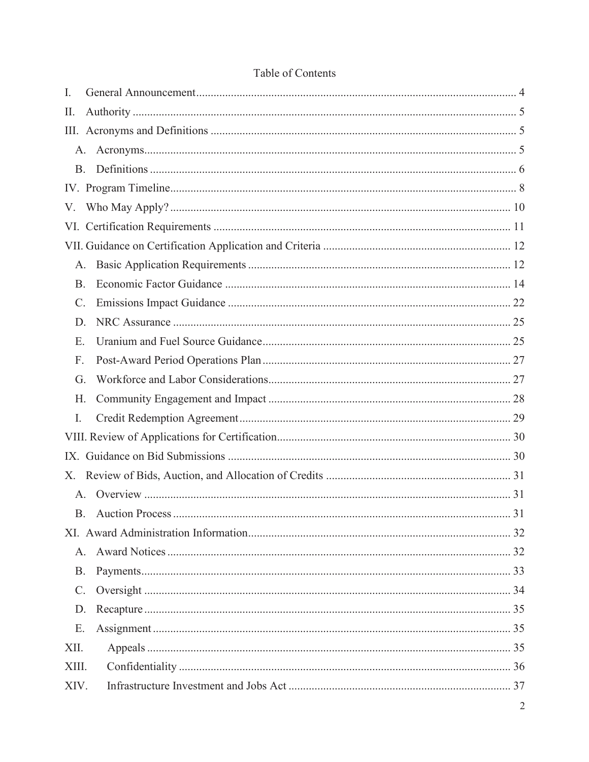| I.          |  |
|-------------|--|
| П.          |  |
|             |  |
| A.          |  |
| <b>B.</b>   |  |
|             |  |
| V.          |  |
|             |  |
|             |  |
| A.          |  |
| <b>B.</b>   |  |
| C.          |  |
| D.          |  |
| E.          |  |
| F.          |  |
| G.          |  |
| Н.          |  |
| I.          |  |
|             |  |
|             |  |
| X.          |  |
| A.          |  |
| B.          |  |
|             |  |
| $A_{1}$     |  |
| <b>B.</b>   |  |
| $C_{\cdot}$ |  |
| D.          |  |
| E.          |  |
| XII.        |  |
| XIII.       |  |
| XIV.        |  |

#### Table of Contents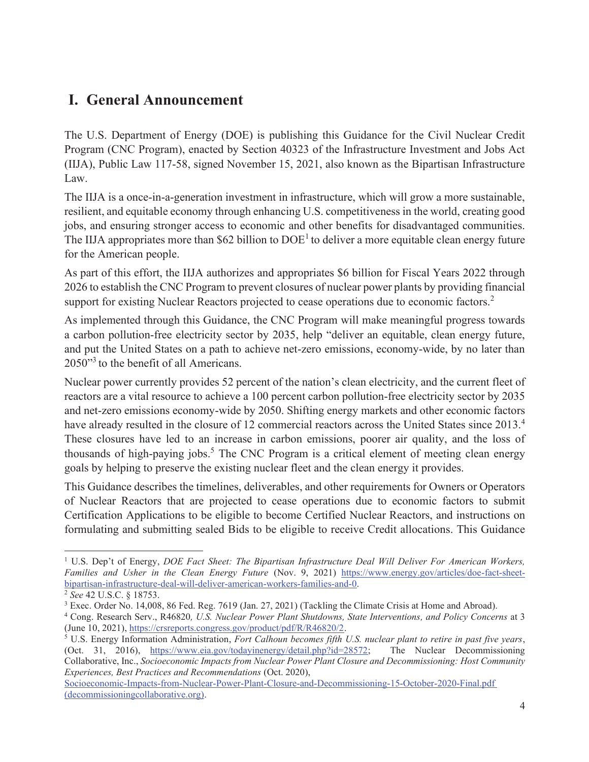## **I. General Announcement**

The U.S. Department of Energy (DOE) is publishing this Guidance for the Civil Nuclear Credit Program (CNC Program), enacted by Section 40323 of the Infrastructure Investment and Jobs Act (IIJA), Public Law 117-58, signed November 15, 2021, also known as the Bipartisan Infrastructure Law.

The IIJA is a once-in-a-generation investment in infrastructure, which will grow a more sustainable, resilient, and equitable economy through enhancing U.S. competitiveness in the world, creating good jobs, and ensuring stronger access to economic and other benefits for disadvantaged communities. The IIJA appropriates more than \$62 billion to  $DOE<sup>1</sup>$  to deliver a more equitable clean energy future for the American people.

As part of this effort, the IIJA authorizes and appropriates \$6 billion for Fiscal Years 2022 through 2026 to establish the CNC Program to prevent closures of nuclear power plants by providing financial support for existing Nuclear Reactors projected to cease operations due to economic factors.<sup>2</sup>

As implemented through this Guidance, the CNC Program will make meaningful progress towards a carbon pollution-free electricity sector by 2035, help "deliver an equitable, clean energy future, and put the United States on a path to achieve net-zero emissions, economy-wide, by no later than 2050"<sup>3</sup> to the benefit of all Americans.

Nuclear power currently provides 52 percent of the nation's clean electricity, and the current fleet of reactors are a vital resource to achieve a 100 percent carbon pollution-free electricity sector by 2035 and net-zero emissions economy-wide by 2050. Shifting energy markets and other economic factors have already resulted in the closure of 12 commercial reactors across the United States since 2013.<sup>4</sup> These closures have led to an increase in carbon emissions, poorer air quality, and the loss of thousands of high-paying jobs.<sup>5</sup> The CNC Program is a critical element of meeting clean energy goals by helping to preserve the existing nuclear fleet and the clean energy it provides.

This Guidance describes the timelines, deliverables, and other requirements for Owners or Operators of Nuclear Reactors that are projected to cease operations due to economic factors to submit Certification Applications to be eligible to become Certified Nuclear Reactors, and instructions on formulating and submitting sealed Bids to be eligible to receive Credit allocations. This Guidance

<sup>&</sup>lt;sup>1</sup> U.S. Dep't of Energy, *DOE Fact Sheet: The Bipartisan Infrastructure Deal Will Deliver For American Workers, Families and Usher in the Clean Energy Future* (Nov. 9, 2021) https://www.energy.gov/articles/doe-fact-sheetbipartisan-infrastructure-deal-will-deliver-american-workers-families-and-0.

<sup>2</sup> *See* 42 U.S.C. § 18753.

<sup>&</sup>lt;sup>3</sup> Exec. Order No. 14,008, 86 Fed. Reg. 7619 (Jan. 27, 2021) (Tackling the Climate Crisis at Home and Abroad).

<sup>4</sup> Cong. Research Serv., R46820*, U.S. Nuclear Power Plant Shutdowns, State Interventions, and Policy Concerns* at 3 (June 10, 2021), https://crsreports.congress.gov/product/pdf/R/R46820/2.

<sup>5</sup> U.S. Energy Information Administration, *Fort Calhoun becomes fifth U.S. nuclear plant to retire in past five years*, (Oct. 31, 2016), https://www.eia.gov/todayinenergy/detail.php?id=28572; The Nuclear Decommissioning Collaborative, Inc., *Socioeconomic Impacts from Nuclear Power Plant Closure and Decommissioning: Host Community Experiences, Best Practices and Recommendations* (Oct. 2020),

Socioeconomic-Impacts-from-Nuclear-Power-Plant-Closure-and-Decommissioning-15-October-2020-Final.pdf (decommissioningcollaborative.org).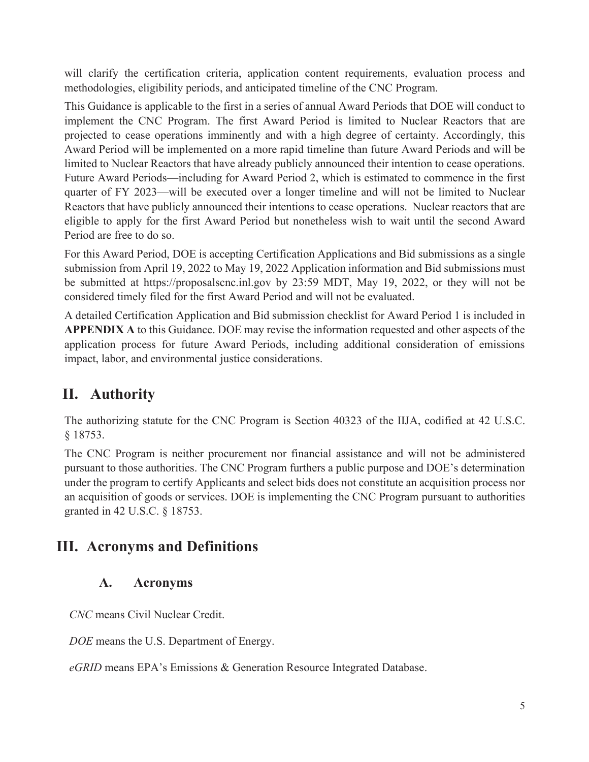will clarify the certification criteria, application content requirements, evaluation process and methodologies, eligibility periods, and anticipated timeline of the CNC Program.

This Guidance is applicable to the first in a series of annual Award Periods that DOE will conduct to implement the CNC Program. The first Award Period is limited to Nuclear Reactors that are projected to cease operations imminently and with a high degree of certainty. Accordingly, this Award Period will be implemented on a more rapid timeline than future Award Periods and will be limited to Nuclear Reactors that have already publicly announced their intention to cease operations. Future Award Periods—including for Award Period 2, which is estimated to commence in the first quarter of FY 2023—will be executed over a longer timeline and will not be limited to Nuclear Reactors that have publicly announced their intentions to cease operations. Nuclear reactors that are eligible to apply for the first Award Period but nonetheless wish to wait until the second Award Period are free to do so.

For this Award Period, DOE is accepting Certification Applications and Bid submissions as a single submission from April 19, 2022 to May 19, 2022 Application information and Bid submissions must be submitted at https://proposalscnc.inl.gov by 23:59 MDT, May 19, 2022, or they will not be considered timely filed for the first Award Period and will not be evaluated.

A detailed Certification Application and Bid submission checklist for Award Period 1 is included in **APPENDIX A** to this Guidance. DOE may revise the information requested and other aspects of the application process for future Award Periods, including additional consideration of emissions impact, labor, and environmental justice considerations.

## **II. Authority**

The authorizing statute for the CNC Program is Section 40323 of the IIJA, codified at 42 U.S.C. § 18753.

The CNC Program is neither procurement nor financial assistance and will not be administered pursuant to those authorities. The CNC Program furthers a public purpose and DOE's determination under the program to certify Applicants and select bids does not constitute an acquisition process nor an acquisition of goods or services. DOE is implementing the CNC Program pursuant to authorities granted in 42 U.S.C. § 18753.

## **III. Acronyms and Definitions**

### **A. Acronyms**

*CNC* means Civil Nuclear Credit.

*DOE* means the U.S. Department of Energy.

*eGRID* means EPA's Emissions & Generation Resource Integrated Database.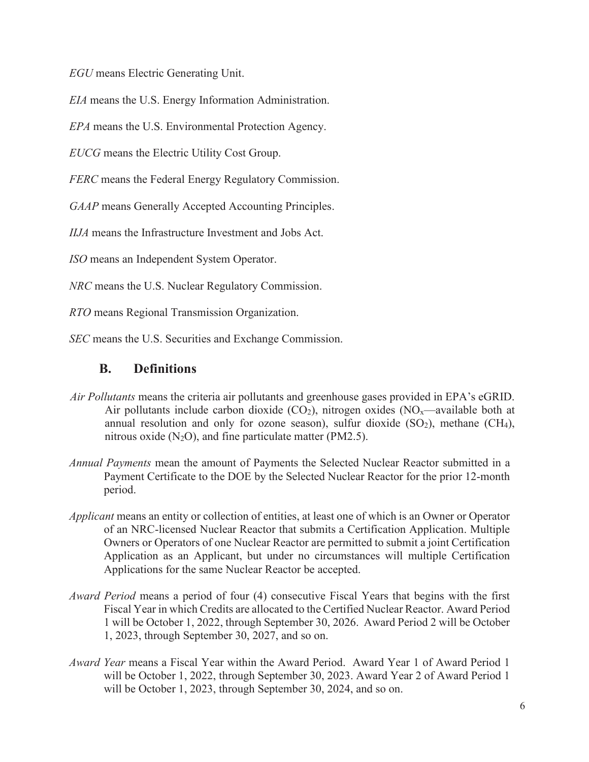*EGU* means Electric Generating Unit.

*EIA* means the U.S. Energy Information Administration.

*EPA* means the U.S. Environmental Protection Agency.

*EUCG* means the Electric Utility Cost Group.

*FERC* means the Federal Energy Regulatory Commission.

*GAAP* means Generally Accepted Accounting Principles.

*IIJA* means the Infrastructure Investment and Jobs Act.

*ISO* means an Independent System Operator.

*NRC* means the U.S. Nuclear Regulatory Commission.

*RTO* means Regional Transmission Organization.

*SEC* means the U.S. Securities and Exchange Commission.

#### **B. Definitions**

- *Air Pollutants* means the criteria air pollutants and greenhouse gases provided in EPA's eGRID. Air pollutants include carbon dioxide  $(CO_2)$ , nitrogen oxides  $(NO<sub>x</sub>—available both at$ annual resolution and only for ozone season), sulfur dioxide  $(SO<sub>2</sub>)$ , methane  $(CH<sub>4</sub>)$ , nitrous oxide  $(N_2O)$ , and fine particulate matter (PM2.5).
- *Annual Payments* mean the amount of Payments the Selected Nuclear Reactor submitted in a Payment Certificate to the DOE by the Selected Nuclear Reactor for the prior 12-month period.
- *Applicant* means an entity or collection of entities, at least one of which is an Owner or Operator of an NRC-licensed Nuclear Reactor that submits a Certification Application. Multiple Owners or Operators of one Nuclear Reactor are permitted to submit a joint Certification Application as an Applicant, but under no circumstances will multiple Certification Applications for the same Nuclear Reactor be accepted.
- *Award Period* means a period of four (4) consecutive Fiscal Years that begins with the first Fiscal Year in which Credits are allocated to the Certified Nuclear Reactor. Award Period 1 will be October 1, 2022, through September 30, 2026. Award Period 2 will be October 1, 2023, through September 30, 2027, and so on.
- *Award Year* means a Fiscal Year within the Award Period. Award Year 1 of Award Period 1 will be October 1, 2022, through September 30, 2023. Award Year 2 of Award Period 1 will be October 1, 2023, through September 30, 2024, and so on.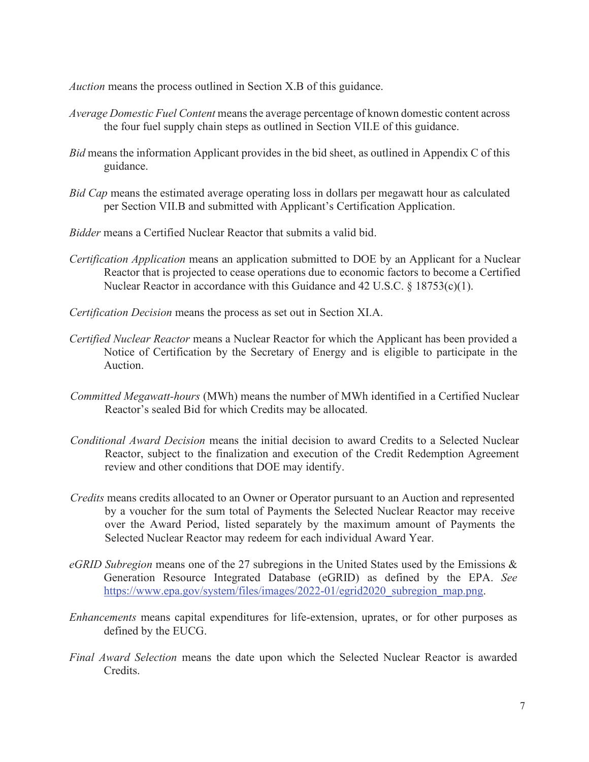*Auction* means the process outlined in Section X.B of this guidance.

- *Average Domestic Fuel Content* means the average percentage of known domestic content across the four fuel supply chain steps as outlined in Section VII.E of this guidance.
- *Bid* means the information Applicant provides in the bid sheet, as outlined in Appendix C of this guidance.
- *Bid Cap* means the estimated average operating loss in dollars per megawatt hour as calculated per Section VII.B and submitted with Applicant's Certification Application.
- *Bidder* means a Certified Nuclear Reactor that submits a valid bid.
- *Certification Application* means an application submitted to DOE by an Applicant for a Nuclear Reactor that is projected to cease operations due to economic factors to become a Certified Nuclear Reactor in accordance with this Guidance and 42 U.S.C. § 18753(c)(1).
- *Certification Decision* means the process as set out in Section XI.A.
- *Certified Nuclear Reactor* means a Nuclear Reactor for which the Applicant has been provided a Notice of Certification by the Secretary of Energy and is eligible to participate in the Auction.
- *Committed Megawatt-hours* (MWh) means the number of MWh identified in a Certified Nuclear Reactor's sealed Bid for which Credits may be allocated.
- *Conditional Award Decision* means the initial decision to award Credits to a Selected Nuclear Reactor, subject to the finalization and execution of the Credit Redemption Agreement review and other conditions that DOE may identify.
- *Credits* means credits allocated to an Owner or Operator pursuant to an Auction and represented by a voucher for the sum total of Payments the Selected Nuclear Reactor may receive over the Award Period, listed separately by the maximum amount of Payments the Selected Nuclear Reactor may redeem for each individual Award Year.
- *eGRID Subregion* means one of the 27 subregions in the United States used by the Emissions & Generation Resource Integrated Database (eGRID) as defined by the EPA. *See* https://www.epa.gov/system/files/images/2022-01/egrid2020\_subregion\_map.png.
- *Enhancements* means capital expenditures for life-extension, uprates, or for other purposes as defined by the EUCG.
- *Final Award Selection* means the date upon which the Selected Nuclear Reactor is awarded Credits.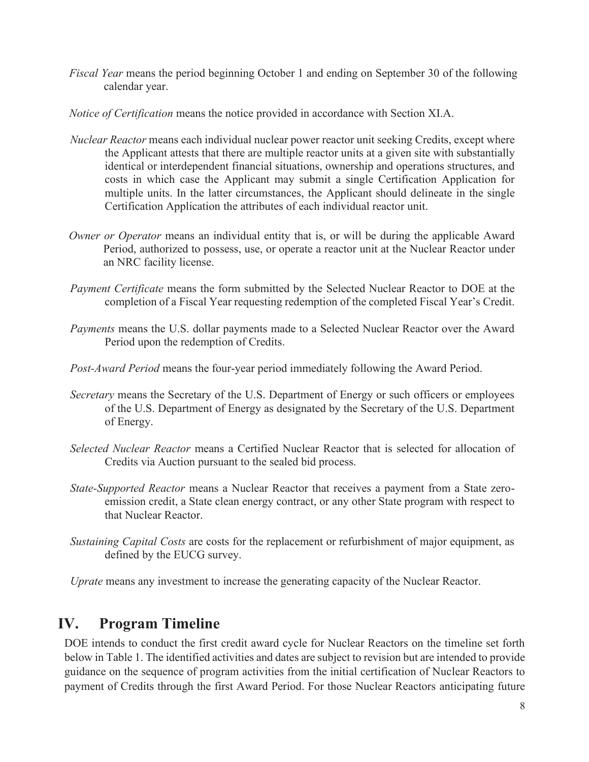- *Fiscal Year* means the period beginning October 1 and ending on September 30 of the following calendar year.
- *Notice of Certification* means the notice provided in accordance with Section XI.A.
- *Nuclear Reactor* means each individual nuclear power reactor unit seeking Credits, except where the Applicant attests that there are multiple reactor units at a given site with substantially identical or interdependent financial situations, ownership and operations structures, and costs in which case the Applicant may submit a single Certification Application for multiple units. In the latter circumstances, the Applicant should delineate in the single Certification Application the attributes of each individual reactor unit.
- *Owner or Operator* means an individual entity that is, or will be during the applicable Award Period, authorized to possess, use, or operate a reactor unit at the Nuclear Reactor under an NRC facility license.
- *Payment Certificate* means the form submitted by the Selected Nuclear Reactor to DOE at the completion of a Fiscal Year requesting redemption of the completed Fiscal Year's Credit.
- *Payments* means the U.S. dollar payments made to a Selected Nuclear Reactor over the Award Period upon the redemption of Credits.
- *Post-Award Period* means the four-year period immediately following the Award Period.
- *Secretary* means the Secretary of the U.S. Department of Energy or such officers or employees of the U.S. Department of Energy as designated by the Secretary of the U.S. Department of Energy.
- *Selected Nuclear Reactor* means a Certified Nuclear Reactor that is selected for allocation of Credits via Auction pursuant to the sealed bid process.
- *State-Supported Reactor* means a Nuclear Reactor that receives a payment from a State zeroemission credit, a State clean energy contract, or any other State program with respect to that Nuclear Reactor.
- *Sustaining Capital Costs* are costs for the replacement or refurbishment of major equipment, as defined by the EUCG survey.

*Uprate* means any investment to increase the generating capacity of the Nuclear Reactor.

## **IV. Program Timeline**

DOE intends to conduct the first credit award cycle for Nuclear Reactors on the timeline set forth below in Table 1. The identified activities and dates are subject to revision but are intended to provide guidance on the sequence of program activities from the initial certification of Nuclear Reactors to payment of Credits through the first Award Period. For those Nuclear Reactors anticipating future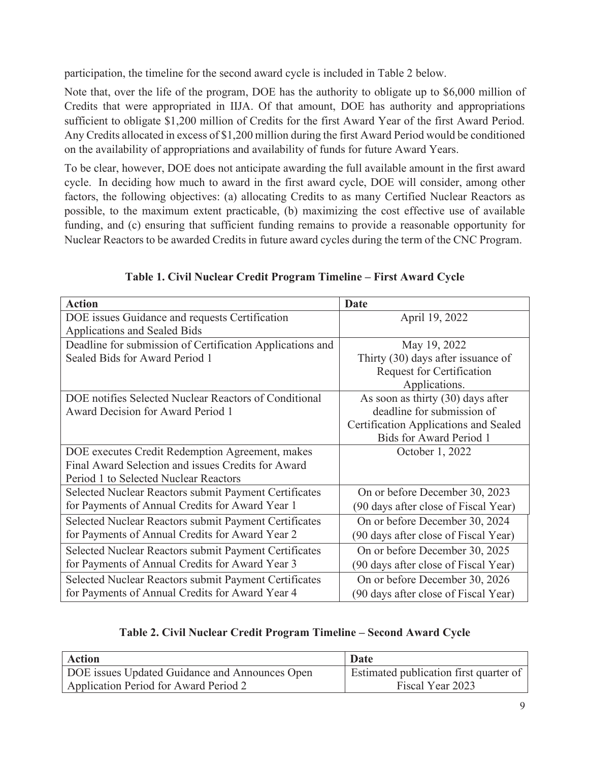participation, the timeline for the second award cycle is included in Table 2 below.

Note that, over the life of the program, DOE has the authority to obligate up to \$6,000 million of Credits that were appropriated in IIJA. Of that amount, DOE has authority and appropriations sufficient to obligate \$1,200 million of Credits for the first Award Year of the first Award Period. Any Credits allocated in excess of \$1,200 million during the first Award Period would be conditioned on the availability of appropriations and availability of funds for future Award Years.

To be clear, however, DOE does not anticipate awarding the full available amount in the first award cycle. In deciding how much to award in the first award cycle, DOE will consider, among other factors, the following objectives: (a) allocating Credits to as many Certified Nuclear Reactors as possible, to the maximum extent practicable, (b) maximizing the cost effective use of available funding, and (c) ensuring that sufficient funding remains to provide a reasonable opportunity for Nuclear Reactors to be awarded Credits in future award cycles during the term of the CNC Program.

| <b>Action</b>                                             | <b>Date</b>                                  |
|-----------------------------------------------------------|----------------------------------------------|
| DOE issues Guidance and requests Certification            | April 19, 2022                               |
| Applications and Sealed Bids                              |                                              |
| Deadline for submission of Certification Applications and | May 19, 2022                                 |
| Sealed Bids for Award Period 1                            | Thirty (30) days after issuance of           |
|                                                           | Request for Certification                    |
|                                                           | Applications.                                |
| DOE notifies Selected Nuclear Reactors of Conditional     | As soon as thirty $(30)$ days after          |
| Award Decision for Award Period 1                         | deadline for submission of                   |
|                                                           | <b>Certification Applications and Sealed</b> |
|                                                           | <b>Bids for Award Period 1</b>               |
| DOE executes Credit Redemption Agreement, makes           | October 1, 2022                              |
| Final Award Selection and issues Credits for Award        |                                              |
| Period 1 to Selected Nuclear Reactors                     |                                              |
| Selected Nuclear Reactors submit Payment Certificates     | On or before December 30, 2023               |
| for Payments of Annual Credits for Award Year 1           | (90 days after close of Fiscal Year)         |
| Selected Nuclear Reactors submit Payment Certificates     | On or before December 30, 2024               |
| for Payments of Annual Credits for Award Year 2           | (90 days after close of Fiscal Year)         |
| Selected Nuclear Reactors submit Payment Certificates     | On or before December 30, 2025               |
| for Payments of Annual Credits for Award Year 3           | (90 days after close of Fiscal Year)         |
| Selected Nuclear Reactors submit Payment Certificates     | On or before December 30, 2026               |
| for Payments of Annual Credits for Award Year 4           | (90 days after close of Fiscal Year)         |

**Table 1. Civil Nuclear Credit Program Timeline – First Award Cycle**

### **Table 2. Civil Nuclear Credit Program Timeline – Second Award Cycle**

| <b>Action</b>                                  | Date                                   |
|------------------------------------------------|----------------------------------------|
| DOE issues Updated Guidance and Announces Open | Estimated publication first quarter of |
| Application Period for Award Period 2          | Fiscal Year 2023                       |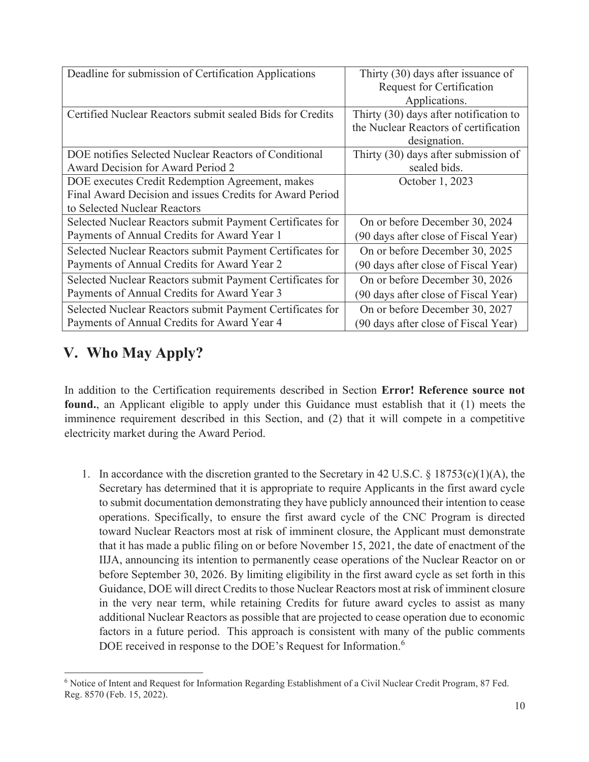| Deadline for submission of Certification Applications     | Thirty (30) days after issuance of     |
|-----------------------------------------------------------|----------------------------------------|
|                                                           | <b>Request for Certification</b>       |
|                                                           | Applications.                          |
| Certified Nuclear Reactors submit sealed Bids for Credits | Thirty (30) days after notification to |
|                                                           | the Nuclear Reactors of certification  |
|                                                           | designation.                           |
| DOE notifies Selected Nuclear Reactors of Conditional     | Thirty (30) days after submission of   |
| Award Decision for Award Period 2                         | sealed bids.                           |
| DOE executes Credit Redemption Agreement, makes           | October 1, 2023                        |
| Final Award Decision and issues Credits for Award Period  |                                        |
| to Selected Nuclear Reactors                              |                                        |
| Selected Nuclear Reactors submit Payment Certificates for | On or before December 30, 2024         |
| Payments of Annual Credits for Award Year 1               | (90 days after close of Fiscal Year)   |
| Selected Nuclear Reactors submit Payment Certificates for | On or before December 30, 2025         |
| Payments of Annual Credits for Award Year 2               | (90 days after close of Fiscal Year)   |
| Selected Nuclear Reactors submit Payment Certificates for | On or before December 30, 2026         |
| Payments of Annual Credits for Award Year 3               | (90 days after close of Fiscal Year)   |
| Selected Nuclear Reactors submit Payment Certificates for | On or before December 30, 2027         |
| Payments of Annual Credits for Award Year 4               | (90 days after close of Fiscal Year)   |

# **V. Who May Apply?**

In addition to the Certification requirements described in Section **Error! Reference source not found.**, an Applicant eligible to apply under this Guidance must establish that it (1) meets the imminence requirement described in this Section, and (2) that it will compete in a competitive electricity market during the Award Period.

1. In accordance with the discretion granted to the Secretary in 42 U.S.C.  $\S$  18753(c)(1)(A), the Secretary has determined that it is appropriate to require Applicants in the first award cycle to submit documentation demonstrating they have publicly announced their intention to cease operations. Specifically, to ensure the first award cycle of the CNC Program is directed toward Nuclear Reactors most at risk of imminent closure, the Applicant must demonstrate that it has made a public filing on or before November 15, 2021, the date of enactment of the IIJA, announcing its intention to permanently cease operations of the Nuclear Reactor on or before September 30, 2026. By limiting eligibility in the first award cycle as set forth in this Guidance, DOE will direct Credits to those Nuclear Reactors most at risk of imminent closure in the very near term, while retaining Credits for future award cycles to assist as many additional Nuclear Reactors as possible that are projected to cease operation due to economic factors in a future period.This approach is consistent with many of the public comments DOE received in response to the DOE's Request for Information.<sup>6</sup>

<sup>6</sup> Notice of Intent and Request for Information Regarding Establishment of a Civil Nuclear Credit Program, 87 Fed. Reg. 8570 (Feb. 15, 2022).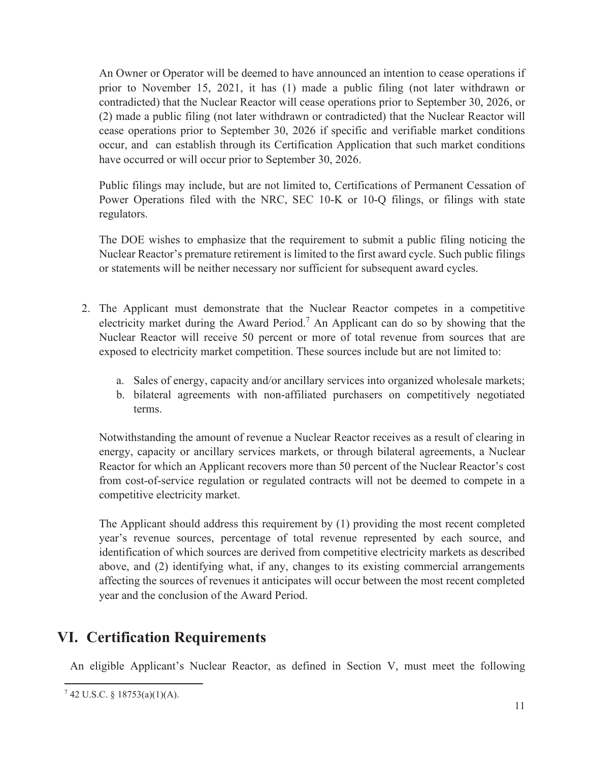An Owner or Operator will be deemed to have announced an intention to cease operations if prior to November 15, 2021, it has (1) made a public filing (not later withdrawn or contradicted) that the Nuclear Reactor will cease operations prior to September 30, 2026, or (2) made a public filing (not later withdrawn or contradicted) that the Nuclear Reactor will cease operations prior to September 30, 2026 if specific and verifiable market conditions occur, and can establish through its Certification Application that such market conditions have occurred or will occur prior to September 30, 2026.

Public filings may include, but are not limited to, Certifications of Permanent Cessation of Power Operations filed with the NRC, SEC 10-K or 10-Q filings, or filings with state regulators.

The DOE wishes to emphasize that the requirement to submit a public filing noticing the Nuclear Reactor's premature retirement is limited to the first award cycle. Such public filings or statements will be neither necessary nor sufficient for subsequent award cycles.

- 2. The Applicant must demonstrate that the Nuclear Reactor competes in a competitive electricity market during the Award Period.<sup>7</sup> An Applicant can do so by showing that the Nuclear Reactor will receive 50 percent or more of total revenue from sources that are exposed to electricity market competition. These sources include but are not limited to:
	- a. Sales of energy, capacity and/or ancillary services into organized wholesale markets;
	- b. bilateral agreements with non-affiliated purchasers on competitively negotiated terms.

Notwithstanding the amount of revenue a Nuclear Reactor receives as a result of clearing in energy, capacity or ancillary services markets, or through bilateral agreements, a Nuclear Reactor for which an Applicant recovers more than 50 percent of the Nuclear Reactor's cost from cost-of-service regulation or regulated contracts will not be deemed to compete in a competitive electricity market.

The Applicant should address this requirement by (1) providing the most recent completed year's revenue sources, percentage of total revenue represented by each source, and identification of which sources are derived from competitive electricity markets as described above, and (2) identifying what, if any, changes to its existing commercial arrangements affecting the sources of revenues it anticipates will occur between the most recent completed year and the conclusion of the Award Period.

## **VI. Certification Requirements**

An eligible Applicant's Nuclear Reactor, as defined in Section V, must meet the following

<sup>7</sup> 42 U.S.C. § 18753(a)(1)(A).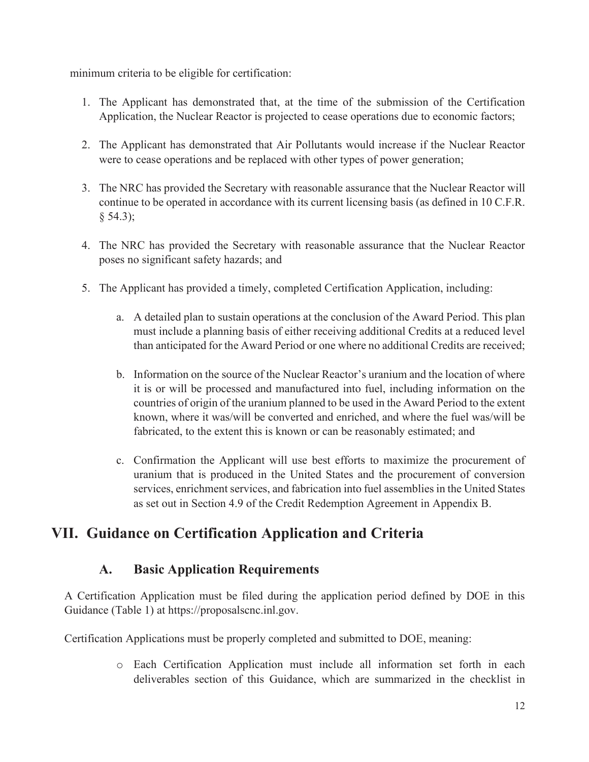minimum criteria to be eligible for certification:

- 1. The Applicant has demonstrated that, at the time of the submission of the Certification Application, the Nuclear Reactor is projected to cease operations due to economic factors;
- 2. The Applicant has demonstrated that Air Pollutants would increase if the Nuclear Reactor were to cease operations and be replaced with other types of power generation;
- 3. The NRC has provided the Secretary with reasonable assurance that the Nuclear Reactor will continue to be operated in accordance with its current licensing basis (as defined in 10 C.F.R. § 54.3);
- 4. The NRC has provided the Secretary with reasonable assurance that the Nuclear Reactor poses no significant safety hazards; and
- 5. The Applicant has provided a timely, completed Certification Application, including:
	- a. A detailed plan to sustain operations at the conclusion of the Award Period. This plan must include a planning basis of either receiving additional Credits at a reduced level than anticipated for the Award Period or one where no additional Credits are received;
	- b. Information on the source of the Nuclear Reactor's uranium and the location of where it is or will be processed and manufactured into fuel, including information on the countries of origin of the uranium planned to be used in the Award Period to the extent known, where it was/will be converted and enriched, and where the fuel was/will be fabricated, to the extent this is known or can be reasonably estimated; and
	- c. Confirmation the Applicant will use best efforts to maximize the procurement of uranium that is produced in the United States and the procurement of conversion services, enrichment services, and fabrication into fuel assemblies in the United States as set out in Section 4.9 of the Credit Redemption Agreement in Appendix B.

# **VII. Guidance on Certification Application and Criteria**

### **A. Basic Application Requirements**

A Certification Application must be filed during the application period defined by DOE in this Guidance (Table 1) at https://proposalscnc.inl.gov.

Certification Applications must be properly completed and submitted to DOE, meaning:

o Each Certification Application must include all information set forth in each deliverables section of this Guidance, which are summarized in the checklist in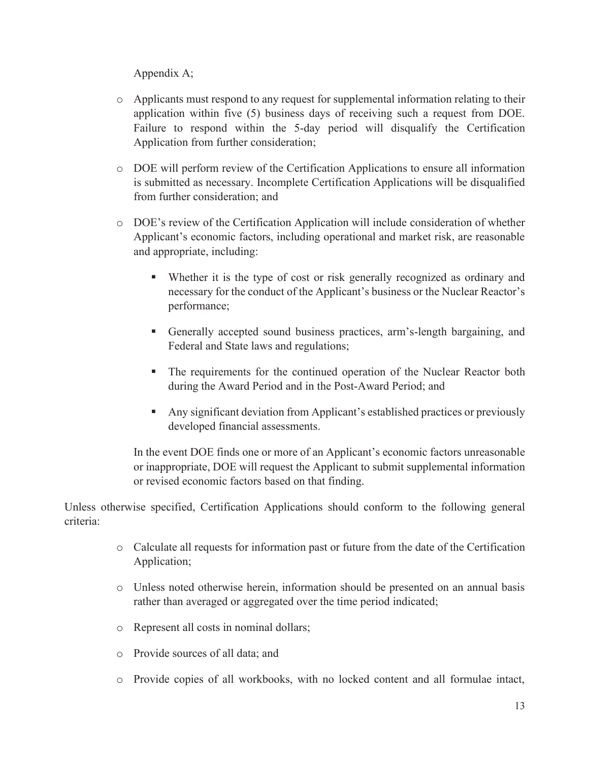#### Appendix A;

- o Applicants must respond to any request for supplemental information relating to their application within five (5) business days of receiving such a request from DOE. Failure to respond within the 5-day period will disqualify the Certification Application from further consideration;
- o DOE will perform review of the Certification Applications to ensure all information is submitted as necessary. Incomplete Certification Applications will be disqualified from further consideration; and
- o DOE's review of the Certification Application will include consideration of whether Applicant's economic factors, including operational and market risk, are reasonable and appropriate, including:
	- Whether it is the type of cost or risk generally recognized as ordinary and necessary for the conduct of the Applicant's business or the Nuclear Reactor's performance;
	- ß Generally accepted sound business practices, arm's-length bargaining, and Federal and State laws and regulations;
	- The requirements for the continued operation of the Nuclear Reactor both during the Award Period and in the Post-Award Period; and
	- **Any significant deviation from Applicant's established practices or previously** developed financial assessments.

In the event DOE finds one or more of an Applicant's economic factors unreasonable or inappropriate, DOE will request the Applicant to submit supplemental information or revised economic factors based on that finding.

Unless otherwise specified, Certification Applications should conform to the following general criteria:

- o Calculate all requests for information past or future from the date of the Certification Application;
- o Unless noted otherwise herein, information should be presented on an annual basis rather than averaged or aggregated over the time period indicated;
- o Represent all costs in nominal dollars;
- o Provide sources of all data; and
- o Provide copies of all workbooks, with no locked content and all formulae intact,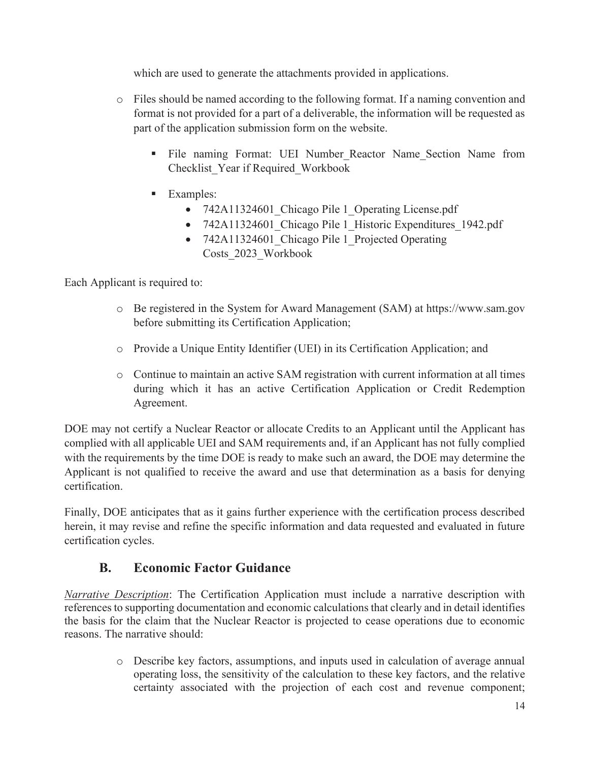which are used to generate the attachments provided in applications.

- o Files should be named according to the following format. If a naming convention and format is not provided for a part of a deliverable, the information will be requested as part of the application submission form on the website.
	- **File naming Format: UEI Number Reactor Name Section Name from** Checklist\_Year if Required\_Workbook
	- **Examples:** 
		- 742A11324601 Chicago Pile 1 Operating License.pdf
		- 742A11324601 Chicago Pile 1 Historic Expenditures 1942.pdf
		- 742A11324601 Chicago Pile 1 Projected Operating Costs\_2023\_Workbook

Each Applicant is required to:

- o Be registered in the System for Award Management (SAM) at https://www.sam.gov before submitting its Certification Application;
- o Provide a Unique Entity Identifier (UEI) in its Certification Application; and
- o Continue to maintain an active SAM registration with current information at all times during which it has an active Certification Application or Credit Redemption Agreement.

DOE may not certify a Nuclear Reactor or allocate Credits to an Applicant until the Applicant has complied with all applicable UEI and SAM requirements and, if an Applicant has not fully complied with the requirements by the time DOE is ready to make such an award, the DOE may determine the Applicant is not qualified to receive the award and use that determination as a basis for denying certification.

Finally, DOE anticipates that as it gains further experience with the certification process described herein, it may revise and refine the specific information and data requested and evaluated in future certification cycles.

### **B. Economic Factor Guidance**

*Narrative Description*: The Certification Application must include a narrative description with references to supporting documentation and economic calculations that clearly and in detail identifies the basis for the claim that the Nuclear Reactor is projected to cease operations due to economic reasons. The narrative should:

> o Describe key factors, assumptions, and inputs used in calculation of average annual operating loss, the sensitivity of the calculation to these key factors, and the relative certainty associated with the projection of each cost and revenue component;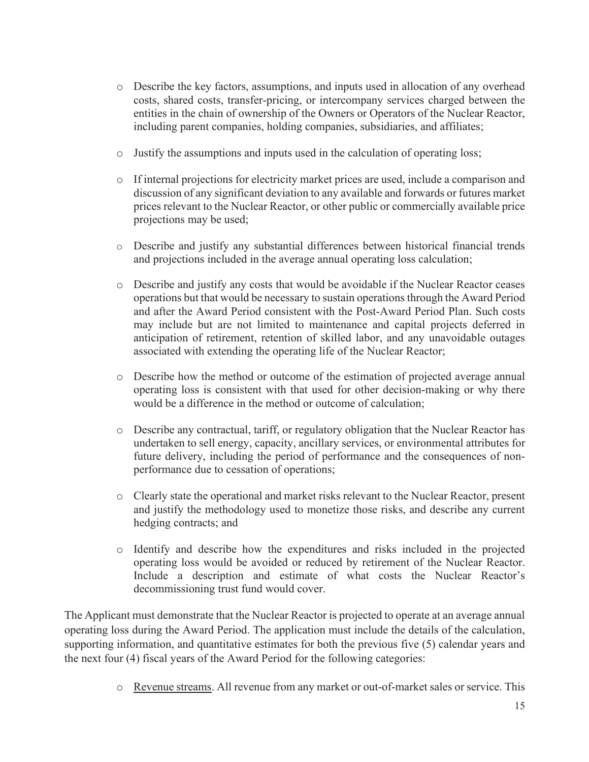- o Describe the key factors, assumptions, and inputs used in allocation of any overhead costs, shared costs, transfer-pricing, or intercompany services charged between the entities in the chain of ownership of the Owners or Operators of the Nuclear Reactor, including parent companies, holding companies, subsidiaries, and affiliates;
- o Justify the assumptions and inputs used in the calculation of operating loss;
- o If internal projections for electricity market prices are used, include a comparison and discussion of any significant deviation to any available and forwards or futures market prices relevant to the Nuclear Reactor, or other public or commercially available price projections may be used;
- o Describe and justify any substantial differences between historical financial trends and projections included in the average annual operating loss calculation;
- o Describe and justify any costs that would be avoidable if the Nuclear Reactor ceases operations but that would be necessary to sustain operations through the Award Period and after the Award Period consistent with the Post-Award Period Plan. Such costs may include but are not limited to maintenance and capital projects deferred in anticipation of retirement, retention of skilled labor, and any unavoidable outages associated with extending the operating life of the Nuclear Reactor;
- o Describe how the method or outcome of the estimation of projected average annual operating loss is consistent with that used for other decision-making or why there would be a difference in the method or outcome of calculation;
- o Describe any contractual, tariff, or regulatory obligation that the Nuclear Reactor has undertaken to sell energy, capacity, ancillary services, or environmental attributes for future delivery, including the period of performance and the consequences of nonperformance due to cessation of operations;
- o Clearly state the operational and market risks relevant to the Nuclear Reactor, present and justify the methodology used to monetize those risks, and describe any current hedging contracts; and
- o Identify and describe how the expenditures and risks included in the projected operating loss would be avoided or reduced by retirement of the Nuclear Reactor. Include a description and estimate of what costs the Nuclear Reactor's decommissioning trust fund would cover.

The Applicant must demonstrate that the Nuclear Reactor is projected to operate at an average annual operating loss during the Award Period. The application must include the details of the calculation, supporting information, and quantitative estimates for both the previous five (5) calendar years and the next four (4) fiscal years of the Award Period for the following categories:

o Revenue streams. All revenue from any market or out-of-market sales or service. This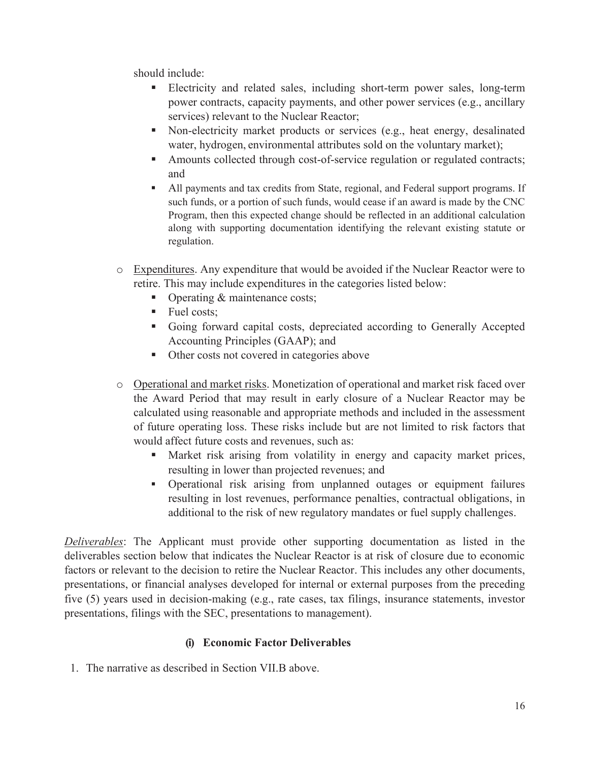should include:

- **Electricity and related sales, including short-term power sales, long-term** power contracts, capacity payments, and other power services (e.g., ancillary services) relevant to the Nuclear Reactor;
- Non-electricity market products or services (e.g., heat energy, desalinated water, hydrogen, environmental attributes sold on the voluntary market);
- Amounts collected through cost-of-service regulation or regulated contracts; and
- ß All payments and tax credits from State, regional, and Federal support programs. If such funds, or a portion of such funds, would cease if an award is made by the CNC Program, then this expected change should be reflected in an additional calculation along with supporting documentation identifying the relevant existing statute or regulation.
- o Expenditures. Any expenditure that would be avoided if the Nuclear Reactor were to retire. This may include expenditures in the categories listed below:
	- Operating & maintenance costs;
	- **Fuel costs;**
	- Going forward capital costs, depreciated according to Generally Accepted Accounting Principles (GAAP); and
	- Other costs not covered in categories above
- o Operational and market risks. Monetization of operational and market risk faced over the Award Period that may result in early closure of a Nuclear Reactor may be calculated using reasonable and appropriate methods and included in the assessment of future operating loss. These risks include but are not limited to risk factors that would affect future costs and revenues, such as:
	- ß Market risk arising from volatility in energy and capacity market prices, resulting in lower than projected revenues; and
	- ß Operational risk arising from unplanned outages or equipment failures resulting in lost revenues, performance penalties, contractual obligations, in additional to the risk of new regulatory mandates or fuel supply challenges.

*Deliverables*: The Applicant must provide other supporting documentation as listed in the deliverables section below that indicates the Nuclear Reactor is at risk of closure due to economic factors or relevant to the decision to retire the Nuclear Reactor. This includes any other documents, presentations, or financial analyses developed for internal or external purposes from the preceding five (5) years used in decision-making (e.g., rate cases, tax filings, insurance statements, investor presentations, filings with the SEC, presentations to management).

#### **(i) Economic Factor Deliverables**

1. The narrative as described in Section VII.B above.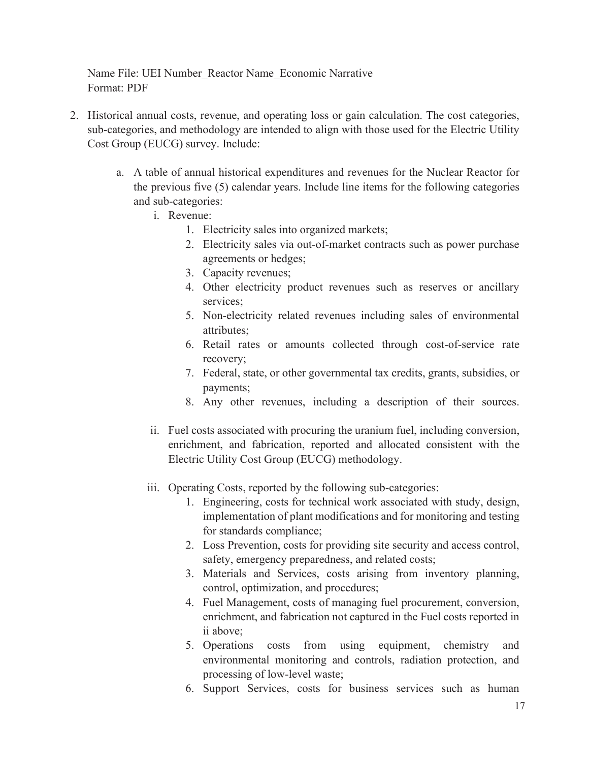Name File: UEI Number\_Reactor Name\_Economic Narrative Format: PDF

- 2. Historical annual costs, revenue, and operating loss or gain calculation. The cost categories, sub-categories, and methodology are intended to align with those used for the Electric Utility Cost Group (EUCG) survey. Include:
	- a. A table of annual historical expenditures and revenues for the Nuclear Reactor for the previous five (5) calendar years. Include line items for the following categories and sub-categories:
		- i. Revenue:
			- 1. Electricity sales into organized markets;
			- 2. Electricity sales via out-of-market contracts such as power purchase agreements or hedges;
			- 3. Capacity revenues;
			- 4. Other electricity product revenues such as reserves or ancillary services;
			- 5. Non-electricity related revenues including sales of environmental attributes;
			- 6. Retail rates or amounts collected through cost-of-service rate recovery;
			- 7. Federal, state, or other governmental tax credits, grants, subsidies, or payments;
			- 8. Any other revenues, including a description of their sources.
		- ii. Fuel costs associated with procuring the uranium fuel, including conversion, enrichment, and fabrication, reported and allocated consistent with the Electric Utility Cost Group (EUCG) methodology.
		- iii. Operating Costs, reported by the following sub-categories:
			- 1. Engineering, costs for technical work associated with study, design, implementation of plant modifications and for monitoring and testing for standards compliance;
			- 2. Loss Prevention, costs for providing site security and access control, safety, emergency preparedness, and related costs;
			- 3. Materials and Services, costs arising from inventory planning, control, optimization, and procedures;
			- 4. Fuel Management, costs of managing fuel procurement, conversion, enrichment, and fabrication not captured in the Fuel costs reported in ii above;
			- 5. Operations costs from using equipment, chemistry and environmental monitoring and controls, radiation protection, and processing of low-level waste;
			- 6. Support Services, costs for business services such as human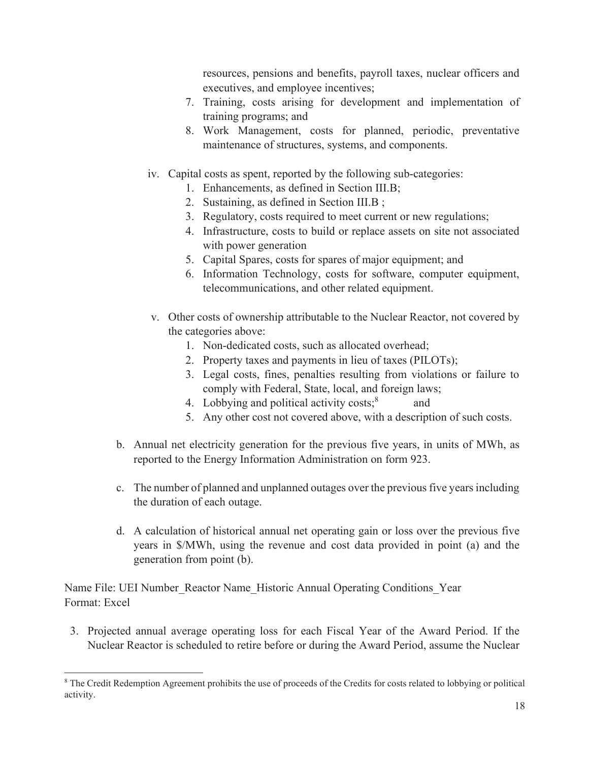resources, pensions and benefits, payroll taxes, nuclear officers and executives, and employee incentives;

- 7. Training, costs arising for development and implementation of training programs; and
- 8. Work Management, costs for planned, periodic, preventative maintenance of structures, systems, and components.
- iv. Capital costs as spent, reported by the following sub-categories:
	- 1. Enhancements, as defined in Section III.B;
	- 2. Sustaining, as defined in Section III.B ;
	- 3. Regulatory, costs required to meet current or new regulations;
	- 4. Infrastructure, costs to build or replace assets on site not associated with power generation
	- 5. Capital Spares, costs for spares of major equipment; and
	- 6. Information Technology, costs for software, computer equipment, telecommunications, and other related equipment.
- v. Other costs of ownership attributable to the Nuclear Reactor, not covered by the categories above:
	- 1. Non-dedicated costs, such as allocated overhead;
	- 2. Property taxes and payments in lieu of taxes (PILOTs);
	- 3. Legal costs, fines, penalties resulting from violations or failure to comply with Federal, State, local, and foreign laws;
	- 4. Lobbying and political activity costs;<sup>8</sup> and
	- 5. Any other cost not covered above, with a description of such costs.
- b. Annual net electricity generation for the previous five years, in units of MWh, as reported to the Energy Information Administration on form 923.
- c. The number of planned and unplanned outages over the previous five years including the duration of each outage.
- d. A calculation of historical annual net operating gain or loss over the previous five years in \$/MWh, using the revenue and cost data provided in point (a) and the generation from point (b).

Name File: UEI Number\_Reactor Name\_Historic Annual Operating Conditions\_Year Format: Excel

3. Projected annual average operating loss for each Fiscal Year of the Award Period. If the Nuclear Reactor is scheduled to retire before or during the Award Period, assume the Nuclear

<sup>&</sup>lt;sup>8</sup> The Credit Redemption Agreement prohibits the use of proceeds of the Credits for costs related to lobbying or political activity.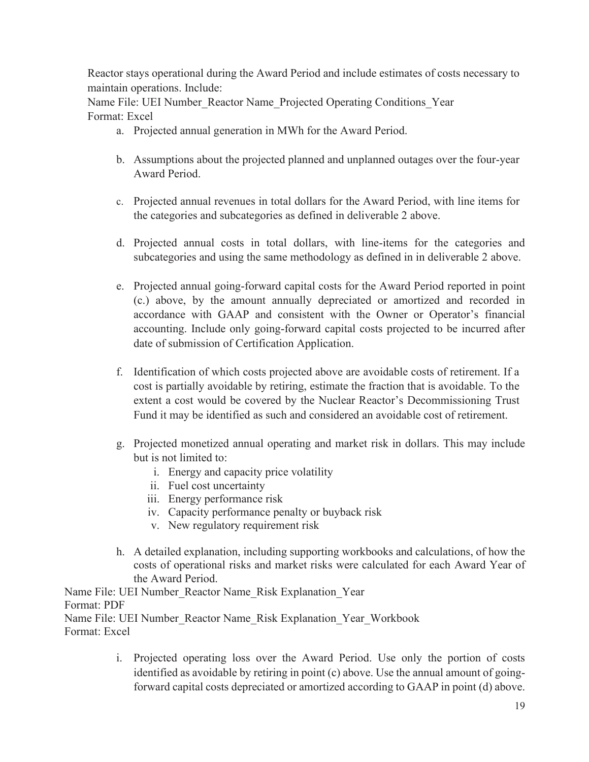Reactor stays operational during the Award Period and include estimates of costs necessary to maintain operations. Include:

Name File: UEI Number\_Reactor Name\_Projected Operating Conditions\_Year Format: Excel

- a. Projected annual generation in MWh for the Award Period.
- b. Assumptions about the projected planned and unplanned outages over the four-year Award Period.
- c. Projected annual revenues in total dollars for the Award Period, with line items for the categories and subcategories as defined in deliverable 2 above.
- d. Projected annual costs in total dollars, with line-items for the categories and subcategories and using the same methodology as defined in in deliverable 2 above.
- e. Projected annual going-forward capital costs for the Award Period reported in point (c.) above, by the amount annually depreciated or amortized and recorded in accordance with GAAP and consistent with the Owner or Operator's financial accounting. Include only going-forward capital costs projected to be incurred after date of submission of Certification Application.
- f. Identification of which costs projected above are avoidable costs of retirement. If a cost is partially avoidable by retiring, estimate the fraction that is avoidable. To the extent a cost would be covered by the Nuclear Reactor's Decommissioning Trust Fund it may be identified as such and considered an avoidable cost of retirement.
- g. Projected monetized annual operating and market risk in dollars. This may include but is not limited to:
	- i. Energy and capacity price volatility
	- ii. Fuel cost uncertainty
	- iii. Energy performance risk
	- iv. Capacity performance penalty or buyback risk
	- v. New regulatory requirement risk
- h. A detailed explanation, including supporting workbooks and calculations, of how the costs of operational risks and market risks were calculated for each Award Year of the Award Period.

Name File: UEI Number\_Reactor Name\_Risk Explanation\_Year Format: PDF Name File: UEI Number\_Reactor Name\_Risk Explanation\_Year\_Workbook Format: Excel

> i. Projected operating loss over the Award Period. Use only the portion of costs identified as avoidable by retiring in point (c) above. Use the annual amount of goingforward capital costs depreciated or amortized according to GAAP in point (d) above.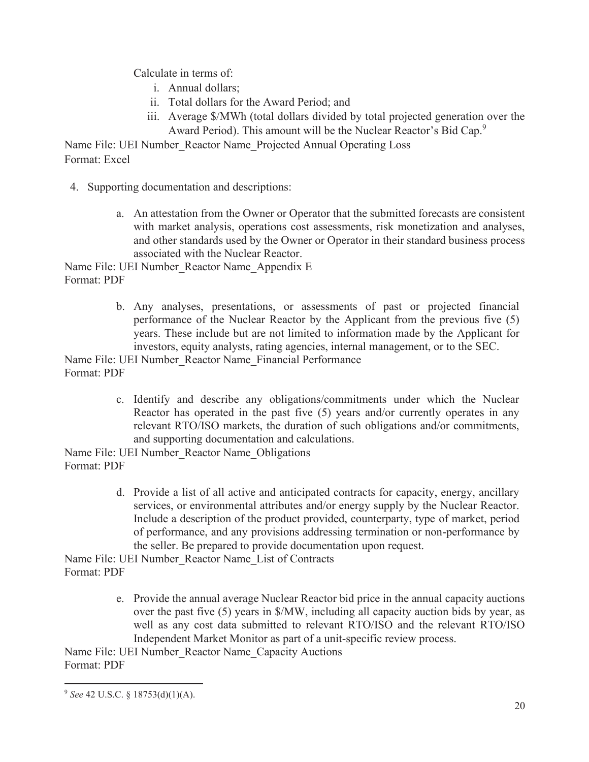Calculate in terms of:

- i. Annual dollars;
- ii. Total dollars for the Award Period; and
- iii. Average \$/MWh (total dollars divided by total projected generation over the Award Period). This amount will be the Nuclear Reactor's Bid Cap.<sup>9</sup>

Name File: UEI Number\_Reactor Name\_Projected Annual Operating Loss Format: Excel

- 4. Supporting documentation and descriptions:
	- a. An attestation from the Owner or Operator that the submitted forecasts are consistent with market analysis, operations cost assessments, risk monetization and analyses, and other standards used by the Owner or Operator in their standard business process associated with the Nuclear Reactor.

Name File: UEI Number\_Reactor Name\_Appendix E Format: PDF

> b. Any analyses, presentations, or assessments of past or projected financial performance of the Nuclear Reactor by the Applicant from the previous five (5) years. These include but are not limited to information made by the Applicant for investors, equity analysts, rating agencies, internal management, or to the SEC.

Name File: UEI Number\_Reactor Name\_Financial Performance Format: PDF

> c. Identify and describe any obligations/commitments under which the Nuclear Reactor has operated in the past five (5) years and/or currently operates in any relevant RTO/ISO markets, the duration of such obligations and/or commitments, and supporting documentation and calculations.

Name File: UEI Number\_Reactor Name\_Obligations Format: PDF

> d. Provide a list of all active and anticipated contracts for capacity, energy, ancillary services, or environmental attributes and/or energy supply by the Nuclear Reactor. Include a description of the product provided, counterparty, type of market, period of performance, and any provisions addressing termination or non-performance by the seller. Be prepared to provide documentation upon request.

Name File: UEI Number\_Reactor Name\_List of Contracts Format: PDF

> e. Provide the annual average Nuclear Reactor bid price in the annual capacity auctions over the past five (5) years in \$/MW, including all capacity auction bids by year, as well as any cost data submitted to relevant RTO/ISO and the relevant RTO/ISO Independent Market Monitor as part of a unit-specific review process.

Name File: UEI Number\_Reactor Name\_Capacity Auctions Format: PDF

<sup>9</sup> *See* 42 U.S.C. § 18753(d)(1)(A).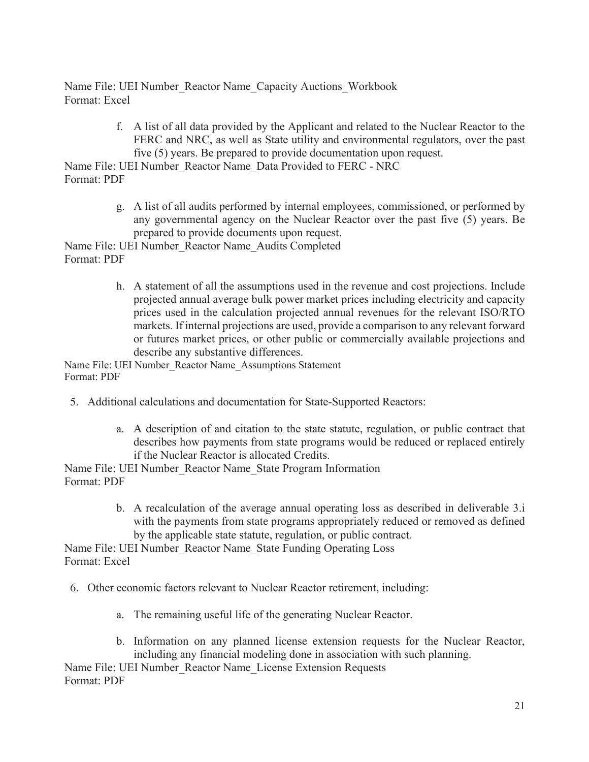Name File: UEI Number\_Reactor Name\_Capacity Auctions\_Workbook Format: Excel

> f. A list of all data provided by the Applicant and related to the Nuclear Reactor to the FERC and NRC, as well as State utility and environmental regulators, over the past five (5) years. Be prepared to provide documentation upon request.

Name File: UEI Number\_Reactor Name\_Data Provided to FERC - NRC Format: PDF

> g. A list of all audits performed by internal employees, commissioned, or performed by any governmental agency on the Nuclear Reactor over the past five (5) years. Be prepared to provide documents upon request.

Name File: UEI Number\_Reactor Name\_Audits Completed Format: PDF

> h. A statement of all the assumptions used in the revenue and cost projections. Include projected annual average bulk power market prices including electricity and capacity prices used in the calculation projected annual revenues for the relevant ISO/RTO markets. If internal projections are used, provide a comparison to any relevant forward or futures market prices, or other public or commercially available projections and describe any substantive differences.

Name File: UEI Number\_Reactor Name\_Assumptions Statement Format: PDF

- 5. Additional calculations and documentation for State-Supported Reactors:
	- a. A description of and citation to the state statute, regulation, or public contract that describes how payments from state programs would be reduced or replaced entirely if the Nuclear Reactor is allocated Credits.

Name File: UEI Number Reactor Name State Program Information Format: PDF

> b. A recalculation of the average annual operating loss as described in deliverable 3.i with the payments from state programs appropriately reduced or removed as defined by the applicable state statute, regulation, or public contract.

Name File: UEI Number\_Reactor Name\_State Funding Operating Loss Format: Excel

- 6. Other economic factors relevant to Nuclear Reactor retirement, including:
	- a. The remaining useful life of the generating Nuclear Reactor.
	- b. Information on any planned license extension requests for the Nuclear Reactor, including any financial modeling done in association with such planning.

Name File: UEI Number\_Reactor Name\_License Extension Requests Format: PDF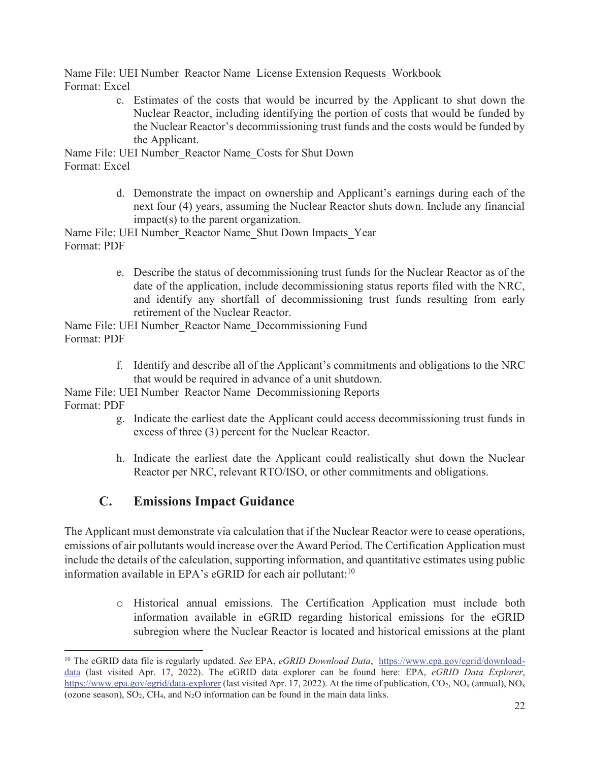Name File: UEI Number Reactor Name License Extension Requests Workbook Format: Excel

> c. Estimates of the costs that would be incurred by the Applicant to shut down the Nuclear Reactor, including identifying the portion of costs that would be funded by the Nuclear Reactor's decommissioning trust funds and the costs would be funded by the Applicant.

Name File: UEI Number\_Reactor Name\_Costs for Shut Down Format: Excel

> d. Demonstrate the impact on ownership and Applicant's earnings during each of the next four (4) years, assuming the Nuclear Reactor shuts down. Include any financial impact(s) to the parent organization.

Name File: UEI Number Reactor Name Shut Down Impacts Year Format: PDF

> e. Describe the status of decommissioning trust funds for the Nuclear Reactor as of the date of the application, include decommissioning status reports filed with the NRC, and identify any shortfall of decommissioning trust funds resulting from early retirement of the Nuclear Reactor.

Name File: UEI Number\_Reactor Name\_Decommissioning Fund Format: PDF

> f. Identify and describe all of the Applicant's commitments and obligations to the NRC that would be required in advance of a unit shutdown.

Name File: UEI Number\_Reactor Name\_Decommissioning Reports Format: PDF

- g. Indicate the earliest date the Applicant could access decommissioning trust funds in excess of three (3) percent for the Nuclear Reactor.
- h. Indicate the earliest date the Applicant could realistically shut down the Nuclear Reactor per NRC, relevant RTO/ISO, or other commitments and obligations.

## **C. Emissions Impact Guidance**

The Applicant must demonstrate via calculation that if the Nuclear Reactor were to cease operations, emissions of air pollutants would increase over the Award Period. The Certification Application must include the details of the calculation, supporting information, and quantitative estimates using public information available in EPA's eGRID for each air pollutant: $10$ 

> o Historical annual emissions. The Certification Application must include both information available in eGRID regarding historical emissions for the eGRID subregion where the Nuclear Reactor is located and historical emissions at the plant

<sup>&</sup>lt;sup>10</sup> The eGRID data file is regularly updated. *See* EPA, *eGRID Download Data*, https://www.epa.gov/egrid/downloaddata (last visited Apr. 17, 2022). The eGRID data explorer can be found here: EPA, *eGRID Data Explorer*, https://www.epa.gov/egrid/data-explorer (last visited Apr. 17, 2022). At the time of publication, CO<sub>2</sub>, NO<sub>x</sub> (annual), NO<sub>x</sub> (ozone season),  $SO_2$ , CH<sub>4</sub>, and  $N_2O$  information can be found in the main data links.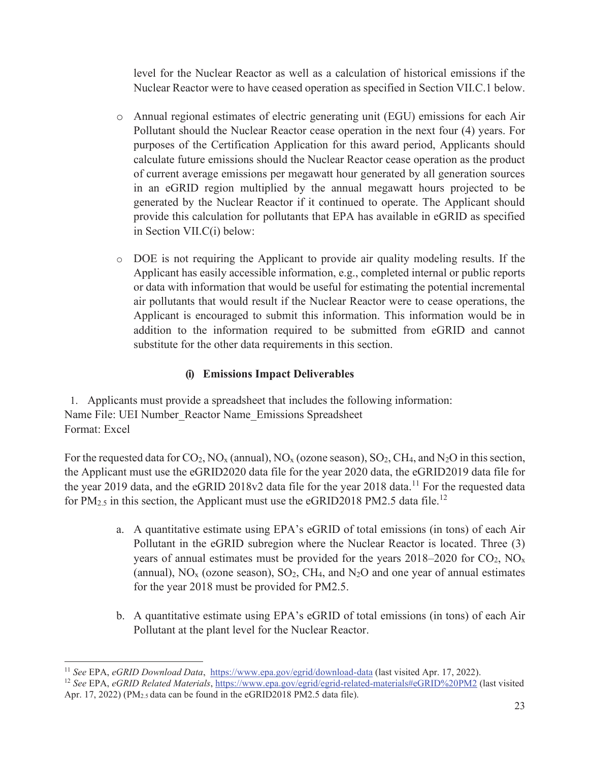level for the Nuclear Reactor as well as a calculation of historical emissions if the Nuclear Reactor were to have ceased operation as specified in Section VII.C.1 below.

- o Annual regional estimates of electric generating unit (EGU) emissions for each Air Pollutant should the Nuclear Reactor cease operation in the next four (4) years. For purposes of the Certification Application for this award period, Applicants should calculate future emissions should the Nuclear Reactor cease operation as the product of current average emissions per megawatt hour generated by all generation sources in an eGRID region multiplied by the annual megawatt hours projected to be generated by the Nuclear Reactor if it continued to operate. The Applicant should provide this calculation for pollutants that EPA has available in eGRID as specified in Section VII.C(i) below:
- o DOE is not requiring the Applicant to provide air quality modeling results. If the Applicant has easily accessible information, e.g., completed internal or public reports or data with information that would be useful for estimating the potential incremental air pollutants that would result if the Nuclear Reactor were to cease operations, the Applicant is encouraged to submit this information. This information would be in addition to the information required to be submitted from eGRID and cannot substitute for the other data requirements in this section.

#### **(i) Emissions Impact Deliverables**

1. Applicants must provide a spreadsheet that includes the following information: Name File: UEI Number\_Reactor Name\_Emissions Spreadsheet Format: Excel

For the requested data for  $CO_2$ ,  $NO_x$  (annual),  $NO_x$  (ozone season),  $SO_2$ ,  $CH_4$ , and  $N_2O$  in this section, the Applicant must use the eGRID2020 data file for the year 2020 data, the eGRID2019 data file for the year 2019 data, and the eGRID 2018v2 data file for the year 2018 data.<sup>11</sup> For the requested data for PM<sub>2.5</sub> in this section, the Applicant must use the eGRID2018 PM2.5 data file.<sup>12</sup>

- a. A quantitative estimate using EPA's eGRID of total emissions (in tons) of each Air Pollutant in the eGRID subregion where the Nuclear Reactor is located. Three (3) years of annual estimates must be provided for the years  $2018-2020$  for  $CO_2$ ,  $NO_x$ (annual),  $NO<sub>x</sub>$  (ozone season),  $SO<sub>2</sub>$ ,  $CH<sub>4</sub>$ , and  $N<sub>2</sub>O$  and one year of annual estimates for the year 2018 must be provided for PM2.5.
- b. A quantitative estimate using EPA's eGRID of total emissions (in tons) of each Air Pollutant at the plant level for the Nuclear Reactor.

<sup>11</sup> *See* EPA, *eGRID Download Data*, https://www.epa.gov/egrid/download-data (last visited Apr. 17, 2022).

<sup>12</sup> *See* EPA, *eGRID Related Materials*, https://www.epa.gov/egrid/egrid-related-materials#eGRID%20PM2 (last visited Apr. 17, 2022) ( $PM<sub>2.5</sub>$  data can be found in the eGRID2018 PM2.5 data file).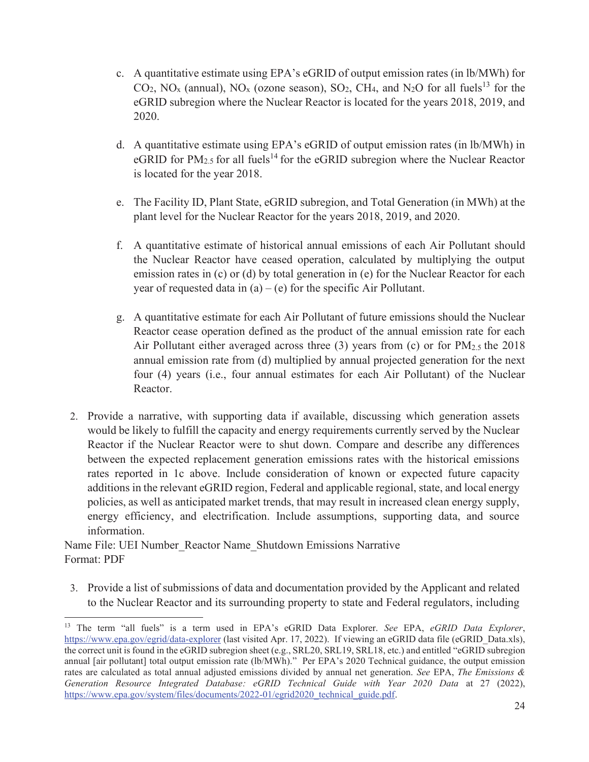- c. A quantitative estimate using EPA's eGRID of output emission rates (in lb/MWh) for  $CO_2$ , NO<sub>x</sub> (annual), NO<sub>x</sub> (ozone season), SO<sub>2</sub>, CH<sub>4</sub>, and N<sub>2</sub>O for all fuels<sup>13</sup> for the eGRID subregion where the Nuclear Reactor is located for the years 2018, 2019, and 2020.
- d. A quantitative estimate using EPA's eGRID of output emission rates (in lb/MWh) in eGRID for  $PM_{2.5}$  for all fuels<sup>14</sup> for the eGRID subregion where the Nuclear Reactor is located for the year 2018.
- e. The Facility ID, Plant State, eGRID subregion, and Total Generation (in MWh) at the plant level for the Nuclear Reactor for the years 2018, 2019, and 2020.
- f. A quantitative estimate of historical annual emissions of each Air Pollutant should the Nuclear Reactor have ceased operation, calculated by multiplying the output emission rates in (c) or (d) by total generation in (e) for the Nuclear Reactor for each year of requested data in  $(a) - (e)$  for the specific Air Pollutant.
- g. A quantitative estimate for each Air Pollutant of future emissions should the Nuclear Reactor cease operation defined as the product of the annual emission rate for each Air Pollutant either averaged across three  $(3)$  years from  $(c)$  or for  $PM_{2.5}$  the 2018 annual emission rate from (d) multiplied by annual projected generation for the next four (4) years (i.e., four annual estimates for each Air Pollutant) of the Nuclear Reactor.
- 2. Provide a narrative, with supporting data if available, discussing which generation assets would be likely to fulfill the capacity and energy requirements currently served by the Nuclear Reactor if the Nuclear Reactor were to shut down. Compare and describe any differences between the expected replacement generation emissions rates with the historical emissions rates reported in 1c above. Include consideration of known or expected future capacity additions in the relevant eGRID region, Federal and applicable regional, state, and local energy policies, as well as anticipated market trends, that may result in increased clean energy supply, energy efficiency, and electrification. Include assumptions, supporting data, and source information.

Name File: UEI Number\_Reactor Name\_Shutdown Emissions Narrative Format: PDF

3. Provide a list of submissions of data and documentation provided by the Applicant and related to the Nuclear Reactor and its surrounding property to state and Federal regulators, including

<sup>13</sup> The term "all fuels" is a term used in EPA's eGRID Data Explorer. *See* EPA, *eGRID Data Explorer*, https://www.epa.gov/egrid/data-explorer (last visited Apr. 17, 2022). If viewing an eGRID data file (eGRID Data.xls), the correct unit is found in the eGRID subregion sheet (e.g., SRL20, SRL19, SRL18, etc.) and entitled "eGRID subregion annual [air pollutant] total output emission rate (lb/MWh)." Per EPA's 2020 Technical guidance, the output emission rates are calculated as total annual adjusted emissions divided by annual net generation. *See* EPA, *The Emissions & Generation Resource Integrated Database: eGRID Technical Guide with Year 2020 Data* at 27 (2022), https://www.epa.gov/system/files/documents/2022-01/egrid2020\_technical\_guide.pdf.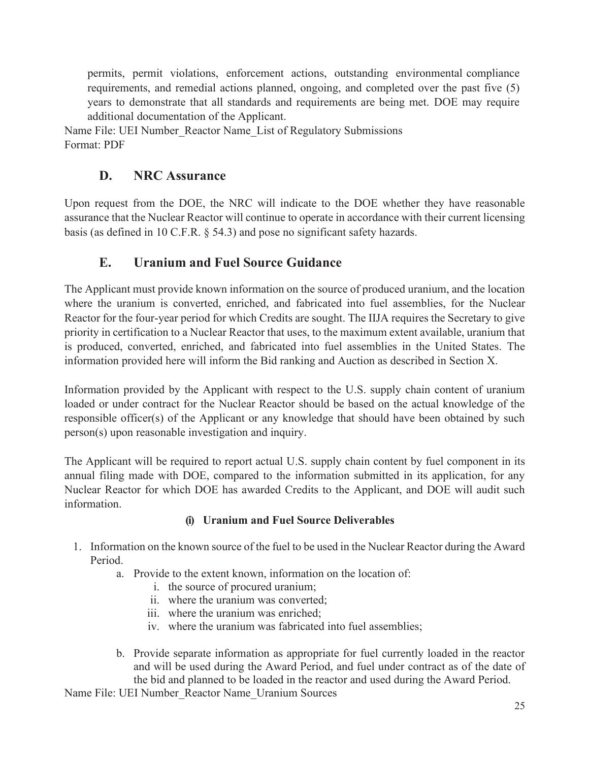permits, permit violations, enforcement actions, outstanding environmental compliance requirements, and remedial actions planned, ongoing, and completed over the past five (5) years to demonstrate that all standards and requirements are being met. DOE may require additional documentation of the Applicant.

Name File: UEI Number Reactor Name List of Regulatory Submissions Format: PDF

### **D. NRC Assurance**

Upon request from the DOE, the NRC will indicate to the DOE whether they have reasonable assurance that the Nuclear Reactor will continue to operate in accordance with their current licensing basis (as defined in 10 C.F.R. § 54.3) and pose no significant safety hazards.

### **E. Uranium and Fuel Source Guidance**

The Applicant must provide known information on the source of produced uranium, and the location where the uranium is converted, enriched, and fabricated into fuel assemblies, for the Nuclear Reactor for the four-year period for which Credits are sought. The IIJA requires the Secretary to give priority in certification to a Nuclear Reactor that uses, to the maximum extent available, uranium that is produced, converted, enriched, and fabricated into fuel assemblies in the United States. The information provided here will inform the Bid ranking and Auction as described in Section X.

Information provided by the Applicant with respect to the U.S. supply chain content of uranium loaded or under contract for the Nuclear Reactor should be based on the actual knowledge of the responsible officer(s) of the Applicant or any knowledge that should have been obtained by such person(s) upon reasonable investigation and inquiry.

The Applicant will be required to report actual U.S. supply chain content by fuel component in its annual filing made with DOE, compared to the information submitted in its application, for any Nuclear Reactor for which DOE has awarded Credits to the Applicant, and DOE will audit such information.

#### **(i) Uranium and Fuel Source Deliverables**

- 1. Information on the known source of the fuel to be used in the Nuclear Reactor during the Award Period.
	- a. Provide to the extent known, information on the location of:
		- i. the source of procured uranium;
		- ii. where the uranium was converted;
		- iii. where the uranium was enriched;
		- iv. where the uranium was fabricated into fuel assemblies;
	- b. Provide separate information as appropriate for fuel currently loaded in the reactor and will be used during the Award Period, and fuel under contract as of the date of the bid and planned to be loaded in the reactor and used during the Award Period.

Name File: UEI Number\_Reactor Name\_Uranium Sources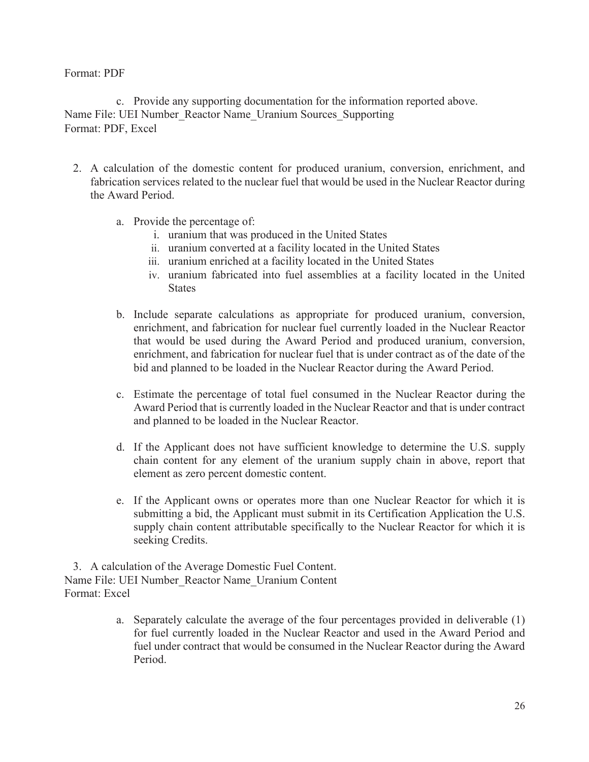#### Format: PDF

c. Provide any supporting documentation for the information reported above. Name File: UEI Number\_Reactor Name\_Uranium Sources\_Supporting Format: PDF, Excel

- 2. A calculation of the domestic content for produced uranium, conversion, enrichment, and fabrication services related to the nuclear fuel that would be used in the Nuclear Reactor during the Award Period.
	- a. Provide the percentage of:
		- i. uranium that was produced in the United States
		- ii. uranium converted at a facility located in the United States
		- iii. uranium enriched at a facility located in the United States
		- iv. uranium fabricated into fuel assemblies at a facility located in the United **States**
	- b. Include separate calculations as appropriate for produced uranium, conversion, enrichment, and fabrication for nuclear fuel currently loaded in the Nuclear Reactor that would be used during the Award Period and produced uranium, conversion, enrichment, and fabrication for nuclear fuel that is under contract as of the date of the bid and planned to be loaded in the Nuclear Reactor during the Award Period.
	- c. Estimate the percentage of total fuel consumed in the Nuclear Reactor during the Award Period that is currently loaded in the Nuclear Reactor and that is under contract and planned to be loaded in the Nuclear Reactor.
	- d. If the Applicant does not have sufficient knowledge to determine the U.S. supply chain content for any element of the uranium supply chain in above, report that element as zero percent domestic content.
	- e. If the Applicant owns or operates more than one Nuclear Reactor for which it is submitting a bid, the Applicant must submit in its Certification Application the U.S. supply chain content attributable specifically to the Nuclear Reactor for which it is seeking Credits.

3. A calculation of the Average Domestic Fuel Content. Name File: UEI Number\_Reactor Name\_Uranium Content Format: Excel

> a. Separately calculate the average of the four percentages provided in deliverable (1) for fuel currently loaded in the Nuclear Reactor and used in the Award Period and fuel under contract that would be consumed in the Nuclear Reactor during the Award Period.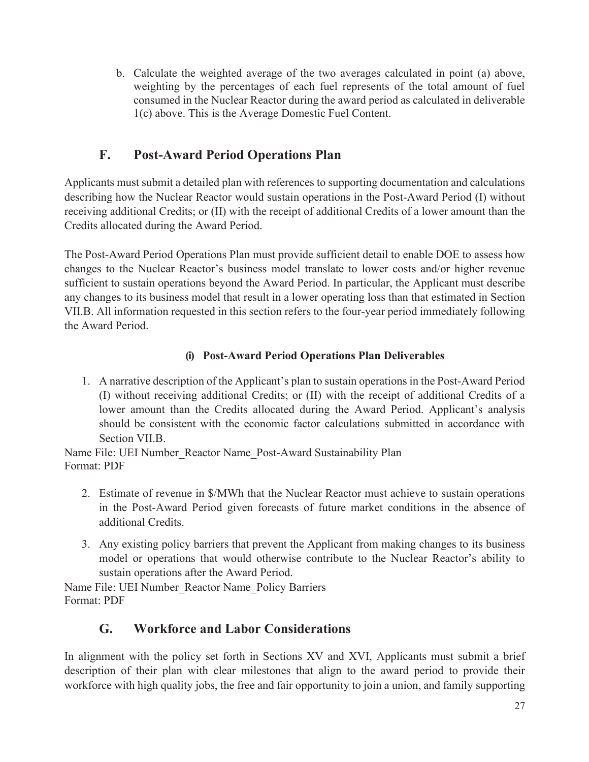b. Calculate the weighted average of the two averages calculated in point (a) above, weighting by the percentages of each fuel represents of the total amount of fuel consumed in the Nuclear Reactor during the award period as calculated in deliverable 1(c) above. This is the Average Domestic Fuel Content.

### **F. Post-Award Period Operations Plan**

Applicants must submit a detailed plan with references to supporting documentation and calculations describing how the Nuclear Reactor would sustain operations in the Post-Award Period (I) without receiving additional Credits; or (II) with the receipt of additional Credits of a lower amount than the Credits allocated during the Award Period.

The Post-Award Period Operations Plan must provide sufficient detail to enable DOE to assess how changes to the Nuclear Reactor's business model translate to lower costs and/or higher revenue sufficient to sustain operations beyond the Award Period. In particular, the Applicant must describe any changes to its business model that result in a lower operating loss than that estimated in Section VII.B. All information requested in this section refers to the four-year period immediately following the Award Period.

#### **(i) Post-Award Period Operations Plan Deliverables**

1. A narrative description of the Applicant's plan to sustain operations in the Post-Award Period (I) without receiving additional Credits; or (II) with the receipt of additional Credits of a lower amount than the Credits allocated during the Award Period. Applicant's analysis should be consistent with the economic factor calculations submitted in accordance with Section VII.B.

Name File: UEI Number\_Reactor Name\_Post-Award Sustainability Plan Format: PDF

- 2. Estimate of revenue in \$/MWh that the Nuclear Reactor must achieve to sustain operations in the Post-Award Period given forecasts of future market conditions in the absence of additional Credits.
- 3. Any existing policy barriers that prevent the Applicant from making changes to its business model or operations that would otherwise contribute to the Nuclear Reactor's ability to sustain operations after the Award Period.

Name File: UEI Number Reactor Name Policy Barriers Format: PDF

## **G. Workforce and Labor Considerations**

In alignment with the policy set forth in Sections XV and XVI, Applicants must submit a brief description of their plan with clear milestones that align to the award period to provide their workforce with high quality jobs, the free and fair opportunity to join a union, and family supporting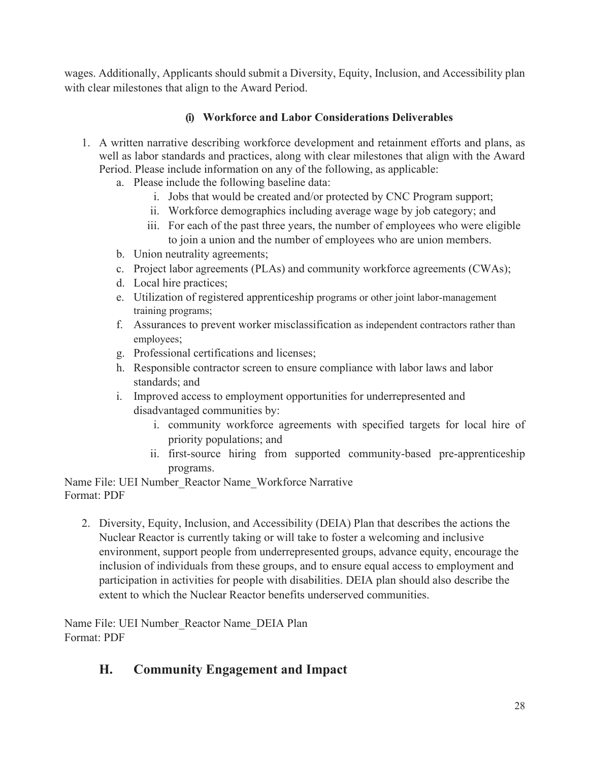wages. Additionally, Applicants should submit a Diversity, Equity, Inclusion, and Accessibility plan with clear milestones that align to the Award Period.

#### **(i) Workforce and Labor Considerations Deliverables**

- 1. A written narrative describing workforce development and retainment efforts and plans, as well as labor standards and practices, along with clear milestones that align with the Award Period. Please include information on any of the following, as applicable:
	- a. Please include the following baseline data:
		- i. Jobs that would be created and/or protected by CNC Program support;
		- ii. Workforce demographics including average wage by job category; and
		- iii. For each of the past three years, the number of employees who were eligible to join a union and the number of employees who are union members.
	- b. Union neutrality agreements;
	- c. Project labor agreements (PLAs) and community workforce agreements (CWAs);
	- d. Local hire practices;
	- e. Utilization of registered apprenticeship programs or other joint labor-management training programs;
	- f. Assurances to prevent worker misclassification as independent contractors rather than employees;
	- g. Professional certifications and licenses;
	- h. Responsible contractor screen to ensure compliance with labor laws and labor standards; and
	- i. Improved access to employment opportunities for underrepresented and disadvantaged communities by:
		- i. community workforce agreements with specified targets for local hire of priority populations; and
		- ii. first-source hiring from supported community-based pre-apprenticeship programs.

Name File: UEI Number\_Reactor Name\_Workforce Narrative Format: PDF

2. Diversity, Equity, Inclusion, and Accessibility (DEIA) Plan that describes the actions the Nuclear Reactor is currently taking or will take to foster a welcoming and inclusive environment, support people from underrepresented groups, advance equity, encourage the inclusion of individuals from these groups, and to ensure equal access to employment and participation in activities for people with disabilities. DEIA plan should also describe the extent to which the Nuclear Reactor benefits underserved communities.

Name File: UEI Number\_Reactor Name\_DEIA Plan Format: PDF

### **H. Community Engagement and Impact**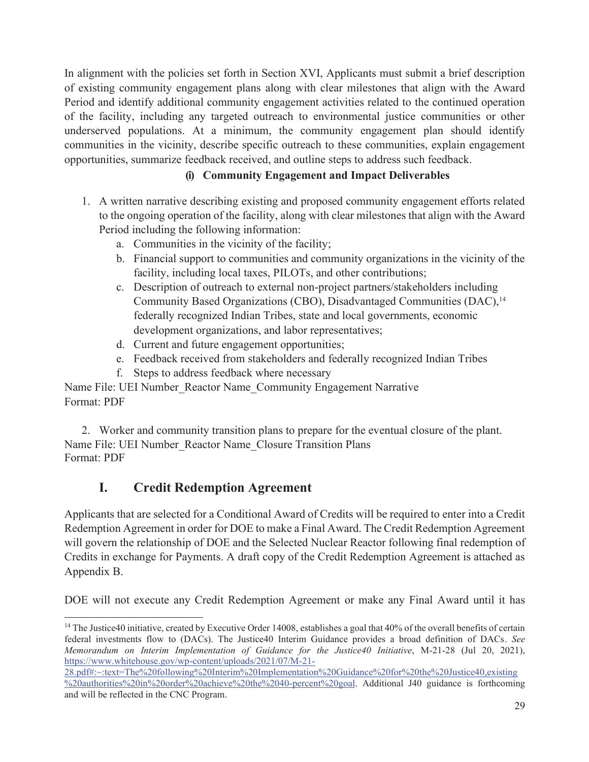In alignment with the policies set forth in Section XVI, Applicants must submit a brief description of existing community engagement plans along with clear milestones that align with the Award Period and identify additional community engagement activities related to the continued operation of the facility, including any targeted outreach to environmental justice communities or other underserved populations. At a minimum, the community engagement plan should identify communities in the vicinity, describe specific outreach to these communities, explain engagement opportunities, summarize feedback received, and outline steps to address such feedback.

#### **(i) Community Engagement and Impact Deliverables**

- 1. A written narrative describing existing and proposed community engagement efforts related to the ongoing operation of the facility, along with clear milestones that align with the Award Period including the following information:
	- a. Communities in the vicinity of the facility;
	- b. Financial support to communities and community organizations in the vicinity of the facility, including local taxes, PILOTs, and other contributions;
	- c. Description of outreach to external non-project partners/stakeholders including Community Based Organizations (CBO), Disadvantaged Communities (DAC),<sup>14</sup> federally recognized Indian Tribes, state and local governments, economic development organizations, and labor representatives;
	- d. Current and future engagement opportunities;
	- e. Feedback received from stakeholders and federally recognized Indian Tribes
	- f. Steps to address feedback where necessary

Name File: UEI Number\_Reactor Name\_Community Engagement Narrative Format: PDF

2. Worker and community transition plans to prepare for the eventual closure of the plant. Name File: UEI Number\_Reactor Name\_Closure Transition Plans Format: PDF

### **I. Credit Redemption Agreement**

Applicants that are selected for a Conditional Award of Credits will be required to enter into a Credit Redemption Agreement in order for DOE to make a Final Award. The Credit Redemption Agreement will govern the relationship of DOE and the Selected Nuclear Reactor following final redemption of Credits in exchange for Payments. A draft copy of the Credit Redemption Agreement is attached as Appendix B.

DOE will not execute any Credit Redemption Agreement or make any Final Award until it has

28.pdf#:~:text=The%20following%20Interim%20Implementation%20Guidance%20for%20the%20Justice40,existing %20authorities%20in%20order%20achieve%20the%2040-percent%20goal. Additional J40 guidance is forthcoming and will be reflected in the CNC Program.

 $14$  The Justice40 initiative, created by Executive Order 14008, establishes a goal that 40% of the overall benefits of certain federal investments flow to (DACs). The Justice40 Interim Guidance provides a broad definition of DACs. *See Memorandum on Interim Implementation of Guidance for the Justice40 Initiative*, M-21-28 (Jul 20, 2021), https://www.whitehouse.gov/wp-content/uploads/2021/07/M-21-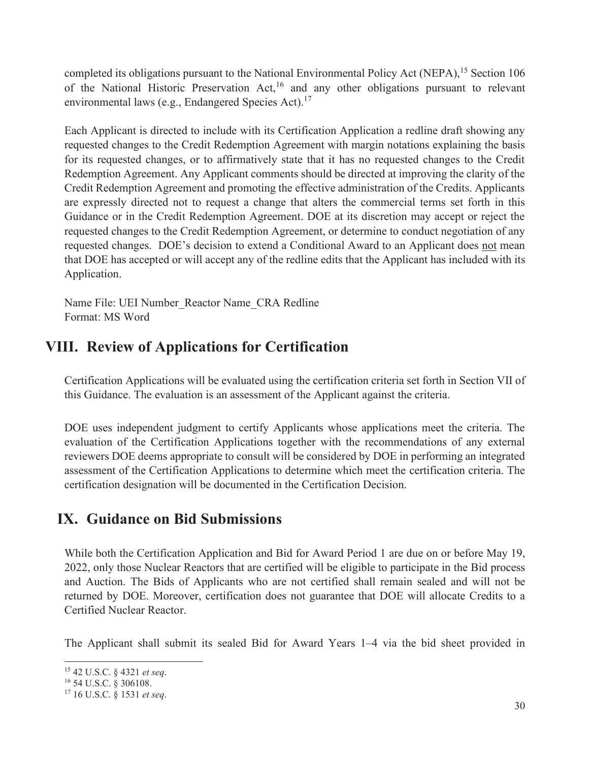completed its obligations pursuant to the National Environmental Policy Act (NEPA),<sup>15</sup> Section 106 of the National Historic Preservation Act,<sup>16</sup> and any other obligations pursuant to relevant environmental laws (e.g., Endangered Species Act).<sup>17</sup>

Each Applicant is directed to include with its Certification Application a redline draft showing any requested changes to the Credit Redemption Agreement with margin notations explaining the basis for its requested changes, or to affirmatively state that it has no requested changes to the Credit Redemption Agreement. Any Applicant comments should be directed at improving the clarity of the Credit Redemption Agreement and promoting the effective administration of the Credits. Applicants are expressly directed not to request a change that alters the commercial terms set forth in this Guidance or in the Credit Redemption Agreement. DOE at its discretion may accept or reject the requested changes to the Credit Redemption Agreement, or determine to conduct negotiation of any requested changes. DOE's decision to extend a Conditional Award to an Applicant does not mean that DOE has accepted or will accept any of the redline edits that the Applicant has included with its Application.

Name File: UEI Number\_Reactor Name\_CRA Redline Format: MS Word

## **VIII. Review of Applications for Certification**

Certification Applications will be evaluated using the certification criteria set forth in Section VII of this Guidance. The evaluation is an assessment of the Applicant against the criteria.

DOE uses independent judgment to certify Applicants whose applications meet the criteria. The evaluation of the Certification Applications together with the recommendations of any external reviewers DOE deems appropriate to consult will be considered by DOE in performing an integrated assessment of the Certification Applications to determine which meet the certification criteria. The certification designation will be documented in the Certification Decision.

## **IX. Guidance on Bid Submissions**

While both the Certification Application and Bid for Award Period 1 are due on or before May 19, 2022, only those Nuclear Reactors that are certified will be eligible to participate in the Bid process and Auction. The Bids of Applicants who are not certified shall remain sealed and will not be returned by DOE. Moreover, certification does not guarantee that DOE will allocate Credits to a Certified Nuclear Reactor.

The Applicant shall submit its sealed Bid for Award Years 1–4 via the bid sheet provided in

<sup>15</sup> 42 U.S.C. § 4321 *et seq*.

<sup>16</sup> 54 U.S.C. § 306108.

<sup>17</sup> 16 U.S.C. § 1531 *et seq*.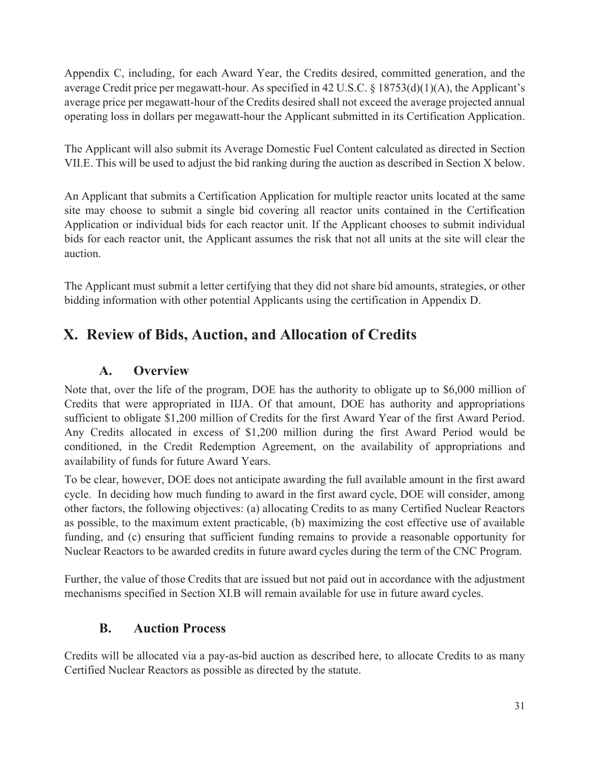Appendix C, including, for each Award Year, the Credits desired, committed generation, and the average Credit price per megawatt-hour. As specified in 42 U.S.C. § 18753(d)(1)(A), the Applicant's average price per megawatt-hour of the Credits desired shall not exceed the average projected annual operating loss in dollars per megawatt-hour the Applicant submitted in its Certification Application.

The Applicant will also submit its Average Domestic Fuel Content calculated as directed in Section VII.E. This will be used to adjust the bid ranking during the auction as described in Section X below.

An Applicant that submits a Certification Application for multiple reactor units located at the same site may choose to submit a single bid covering all reactor units contained in the Certification Application or individual bids for each reactor unit. If the Applicant chooses to submit individual bids for each reactor unit, the Applicant assumes the risk that not all units at the site will clear the auction.

The Applicant must submit a letter certifying that they did not share bid amounts, strategies, or other bidding information with other potential Applicants using the certification in Appendix D.

# **X. Review of Bids, Auction, and Allocation of Credits**

#### **A. Overview**

Note that, over the life of the program, DOE has the authority to obligate up to \$6,000 million of Credits that were appropriated in IIJA. Of that amount, DOE has authority and appropriations sufficient to obligate \$1,200 million of Credits for the first Award Year of the first Award Period. Any Credits allocated in excess of \$1,200 million during the first Award Period would be conditioned, in the Credit Redemption Agreement, on the availability of appropriations and availability of funds for future Award Years.

To be clear, however, DOE does not anticipate awarding the full available amount in the first award cycle. In deciding how much funding to award in the first award cycle, DOE will consider, among other factors, the following objectives: (a) allocating Credits to as many Certified Nuclear Reactors as possible, to the maximum extent practicable, (b) maximizing the cost effective use of available funding, and (c) ensuring that sufficient funding remains to provide a reasonable opportunity for Nuclear Reactors to be awarded credits in future award cycles during the term of the CNC Program.

Further, the value of those Credits that are issued but not paid out in accordance with the adjustment mechanisms specified in Section XI.B will remain available for use in future award cycles.

#### **B. Auction Process**

Credits will be allocated via a pay-as-bid auction as described here, to allocate Credits to as many Certified Nuclear Reactors as possible as directed by the statute.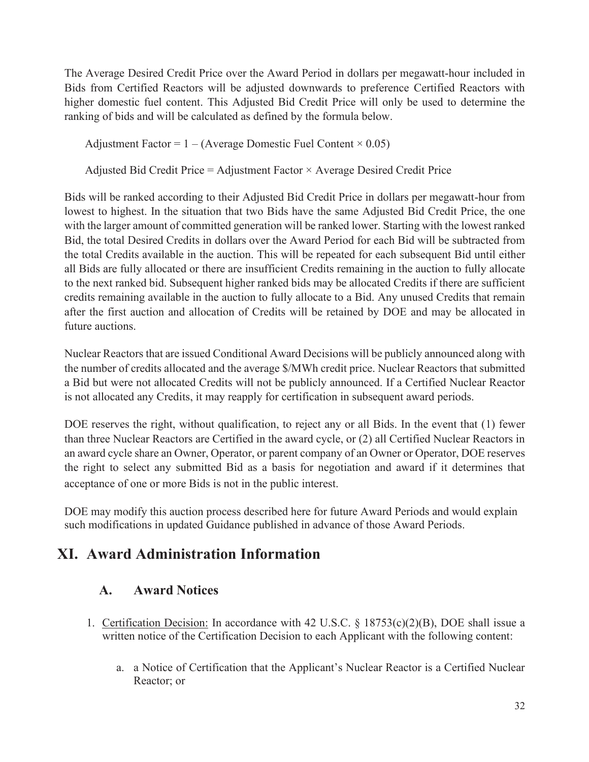The Average Desired Credit Price over the Award Period in dollars per megawatt-hour included in Bids from Certified Reactors will be adjusted downwards to preference Certified Reactors with higher domestic fuel content. This Adjusted Bid Credit Price will only be used to determine the ranking of bids and will be calculated as defined by the formula below.

Adjustment Factor =  $1 - (Average Domestic Field Content \times 0.05)$ 

Adjusted Bid Credit Price = Adjustment Factor × Average Desired Credit Price

Bids will be ranked according to their Adjusted Bid Credit Price in dollars per megawatt-hour from lowest to highest. In the situation that two Bids have the same Adjusted Bid Credit Price, the one with the larger amount of committed generation will be ranked lower. Starting with the lowest ranked Bid, the total Desired Credits in dollars over the Award Period for each Bid will be subtracted from the total Credits available in the auction. This will be repeated for each subsequent Bid until either all Bids are fully allocated or there are insufficient Credits remaining in the auction to fully allocate to the next ranked bid. Subsequent higher ranked bids may be allocated Credits if there are sufficient credits remaining available in the auction to fully allocate to a Bid. Any unused Credits that remain after the first auction and allocation of Credits will be retained by DOE and may be allocated in future auctions.

Nuclear Reactors that are issued Conditional Award Decisions will be publicly announced along with the number of credits allocated and the average \$/MWh credit price. Nuclear Reactors that submitted a Bid but were not allocated Credits will not be publicly announced. If a Certified Nuclear Reactor is not allocated any Credits, it may reapply for certification in subsequent award periods.

DOE reserves the right, without qualification, to reject any or all Bids. In the event that (1) fewer than three Nuclear Reactors are Certified in the award cycle, or (2) all Certified Nuclear Reactors in an award cycle share an Owner, Operator, or parent company of an Owner or Operator, DOE reserves the right to select any submitted Bid as a basis for negotiation and award if it determines that acceptance of one or more Bids is not in the public interest.

DOE may modify this auction process described here for future Award Periods and would explain such modifications in updated Guidance published in advance of those Award Periods.

# **XI. Award Administration Information**

### **A. Award Notices**

- 1. Certification Decision: In accordance with 42 U.S.C. § 18753(c)(2)(B), DOE shall issue a written notice of the Certification Decision to each Applicant with the following content:
	- a. a Notice of Certification that the Applicant's Nuclear Reactor is a Certified Nuclear Reactor; or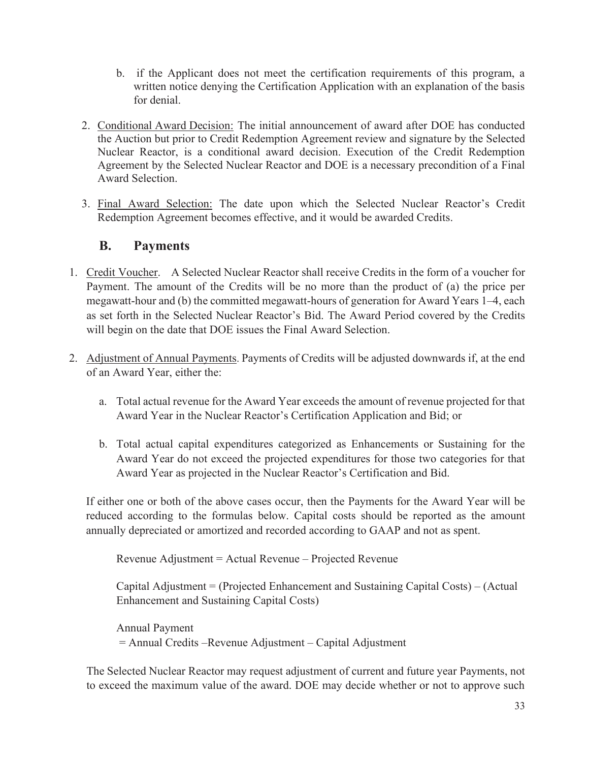- b. if the Applicant does not meet the certification requirements of this program, a written notice denying the Certification Application with an explanation of the basis for denial.
- 2. Conditional Award Decision: The initial announcement of award after DOE has conducted the Auction but prior to Credit Redemption Agreement review and signature by the Selected Nuclear Reactor, is a conditional award decision. Execution of the Credit Redemption Agreement by the Selected Nuclear Reactor and DOE is a necessary precondition of a Final Award Selection.
- 3. Final Award Selection: The date upon which the Selected Nuclear Reactor's Credit Redemption Agreement becomes effective, and it would be awarded Credits.

### **B. Payments**

- 1. Credit Voucher. A Selected Nuclear Reactor shall receive Credits in the form of a voucher for Payment. The amount of the Credits will be no more than the product of (a) the price per megawatt-hour and (b) the committed megawatt-hours of generation for Award Years 1–4, each as set forth in the Selected Nuclear Reactor's Bid. The Award Period covered by the Credits will begin on the date that DOE issues the Final Award Selection.
- 2. Adjustment of Annual Payments. Payments of Credits will be adjusted downwards if, at the end of an Award Year, either the:
	- a. Total actual revenue for the Award Year exceeds the amount of revenue projected for that Award Year in the Nuclear Reactor's Certification Application and Bid; or
	- b. Total actual capital expenditures categorized as Enhancements or Sustaining for the Award Year do not exceed the projected expenditures for those two categories for that Award Year as projected in the Nuclear Reactor's Certification and Bid.

If either one or both of the above cases occur, then the Payments for the Award Year will be reduced according to the formulas below. Capital costs should be reported as the amount annually depreciated or amortized and recorded according to GAAP and not as spent.

Revenue Adjustment = Actual Revenue – Projected Revenue

Capital Adjustment = (Projected Enhancement and Sustaining Capital Costs) – (Actual Enhancement and Sustaining Capital Costs)

Annual Payment = Annual Credits –Revenue Adjustment – Capital Adjustment

The Selected Nuclear Reactor may request adjustment of current and future year Payments, not to exceed the maximum value of the award. DOE may decide whether or not to approve such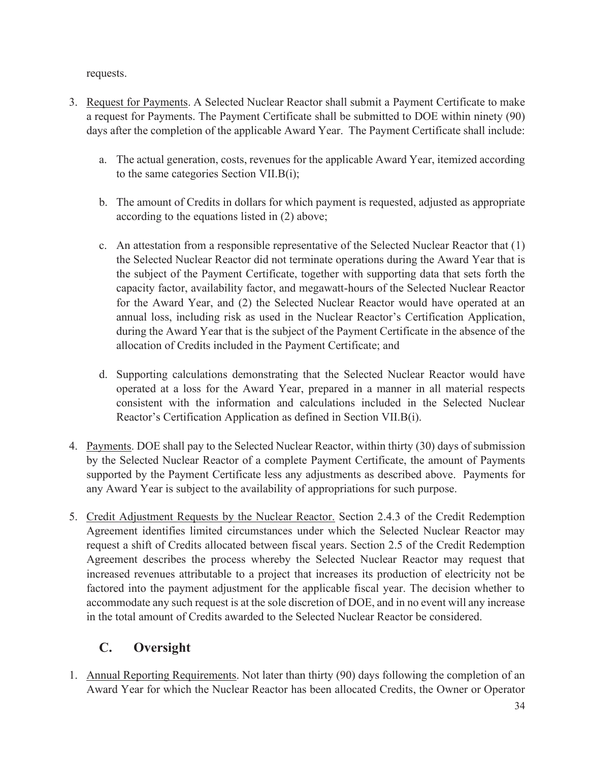requests.

- 3. Request for Payments. A Selected Nuclear Reactor shall submit a Payment Certificate to make a request for Payments. The Payment Certificate shall be submitted to DOE within ninety (90) days after the completion of the applicable Award Year. The Payment Certificate shall include:
	- a. The actual generation, costs, revenues for the applicable Award Year, itemized according to the same categories Section VII.B(i);
	- b. The amount of Credits in dollars for which payment is requested, adjusted as appropriate according to the equations listed in (2) above;
	- c. An attestation from a responsible representative of the Selected Nuclear Reactor that (1) the Selected Nuclear Reactor did not terminate operations during the Award Year that is the subject of the Payment Certificate, together with supporting data that sets forth the capacity factor, availability factor, and megawatt-hours of the Selected Nuclear Reactor for the Award Year, and (2) the Selected Nuclear Reactor would have operated at an annual loss, including risk as used in the Nuclear Reactor's Certification Application, during the Award Year that is the subject of the Payment Certificate in the absence of the allocation of Credits included in the Payment Certificate; and
	- d. Supporting calculations demonstrating that the Selected Nuclear Reactor would have operated at a loss for the Award Year, prepared in a manner in all material respects consistent with the information and calculations included in the Selected Nuclear Reactor's Certification Application as defined in Section VII.B(i).
- 4. Payments. DOE shall pay to the Selected Nuclear Reactor, within thirty (30) days of submission by the Selected Nuclear Reactor of a complete Payment Certificate, the amount of Payments supported by the Payment Certificate less any adjustments as described above. Payments for any Award Year is subject to the availability of appropriations for such purpose.
- 5. Credit Adjustment Requests by the Nuclear Reactor. Section 2.4.3 of the Credit Redemption Agreement identifies limited circumstances under which the Selected Nuclear Reactor may request a shift of Credits allocated between fiscal years. Section 2.5 of the Credit Redemption Agreement describes the process whereby the Selected Nuclear Reactor may request that increased revenues attributable to a project that increases its production of electricity not be factored into the payment adjustment for the applicable fiscal year. The decision whether to accommodate any such request is at the sole discretion of DOE, and in no event will any increase in the total amount of Credits awarded to the Selected Nuclear Reactor be considered.

## **C. Oversight**

1. Annual Reporting Requirements. Not later than thirty (90) days following the completion of an Award Year for which the Nuclear Reactor has been allocated Credits, the Owner or Operator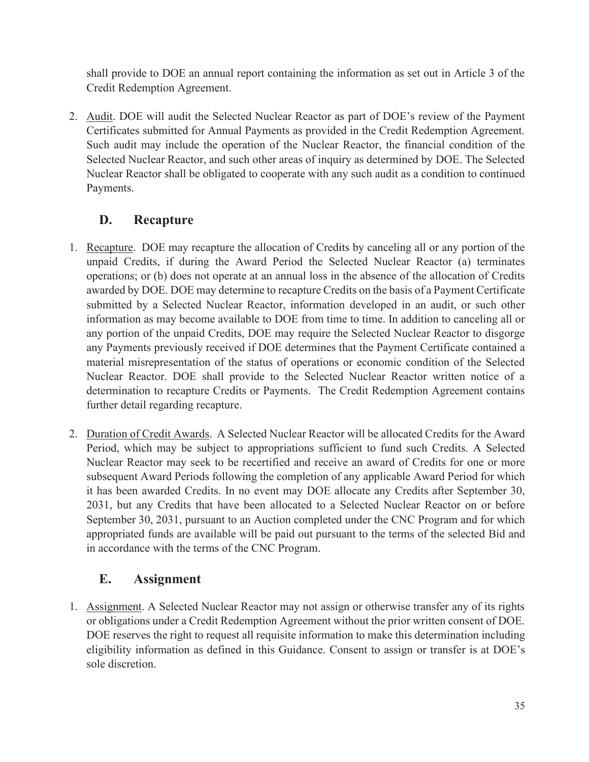shall provide to DOE an annual report containing the information as set out in Article 3 of the Credit Redemption Agreement.

2. Audit. DOE will audit the Selected Nuclear Reactor as part of DOE's review of the Payment Certificates submitted for Annual Payments as provided in the Credit Redemption Agreement. Such audit may include the operation of the Nuclear Reactor, the financial condition of the Selected Nuclear Reactor, and such other areas of inquiry as determined by DOE. The Selected Nuclear Reactor shall be obligated to cooperate with any such audit as a condition to continued Payments.

### **D. Recapture**

- 1. Recapture. DOE may recapture the allocation of Credits by canceling all or any portion of the unpaid Credits, if during the Award Period the Selected Nuclear Reactor (a) terminates operations; or (b) does not operate at an annual loss in the absence of the allocation of Credits awarded by DOE. DOE may determine to recapture Credits on the basis of a Payment Certificate submitted by a Selected Nuclear Reactor, information developed in an audit, or such other information as may become available to DOE from time to time. In addition to canceling all or any portion of the unpaid Credits, DOE may require the Selected Nuclear Reactor to disgorge any Payments previously received if DOE determines that the Payment Certificate contained a material misrepresentation of the status of operations or economic condition of the Selected Nuclear Reactor. DOE shall provide to the Selected Nuclear Reactor written notice of a determination to recapture Credits or Payments. The Credit Redemption Agreement contains further detail regarding recapture.
- 2. Duration of Credit Awards. A Selected Nuclear Reactor will be allocated Credits for the Award Period, which may be subject to appropriations sufficient to fund such Credits. A Selected Nuclear Reactor may seek to be recertified and receive an award of Credits for one or more subsequent Award Periods following the completion of any applicable Award Period for which it has been awarded Credits. In no event may DOE allocate any Credits after September 30, 2031, but any Credits that have been allocated to a Selected Nuclear Reactor on or before September 30, 2031, pursuant to an Auction completed under the CNC Program and for which appropriated funds are available will be paid out pursuant to the terms of the selected Bid and in accordance with the terms of the CNC Program.

### **E. Assignment**

1. Assignment. A Selected Nuclear Reactor may not assign or otherwise transfer any of its rights or obligations under a Credit Redemption Agreement without the prior written consent of DOE. DOE reserves the right to request all requisite information to make this determination including eligibility information as defined in this Guidance. Consent to assign or transfer is at DOE's sole discretion.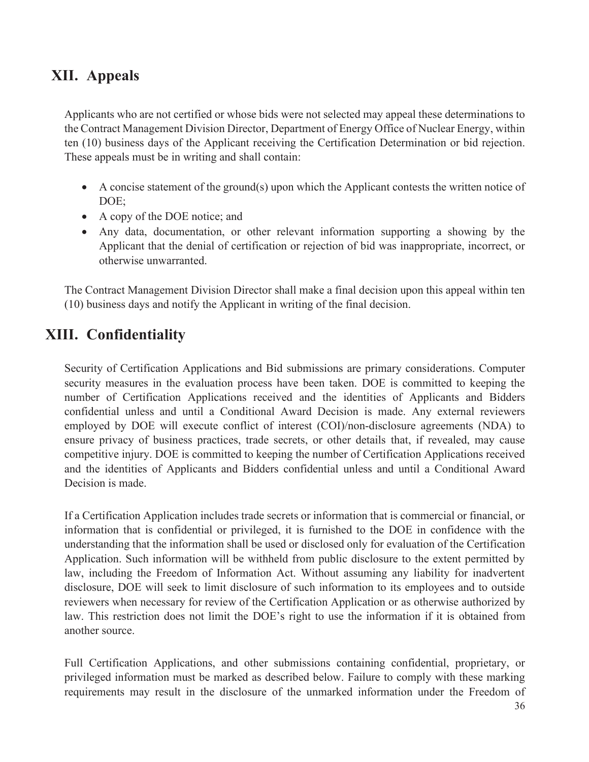## **XII. Appeals**

Applicants who are not certified or whose bids were not selected may appeal these determinations to the Contract Management Division Director, Department of Energy Office of Nuclear Energy, within ten (10) business days of the Applicant receiving the Certification Determination or bid rejection. These appeals must be in writing and shall contain:

- A concise statement of the ground(s) upon which the Applicant contests the written notice of DOE;
- · A copy of the DOE notice; and
- · Any data, documentation, or other relevant information supporting a showing by the Applicant that the denial of certification or rejection of bid was inappropriate, incorrect, or otherwise unwarranted.

The Contract Management Division Director shall make a final decision upon this appeal within ten (10) business days and notify the Applicant in writing of the final decision.

# **XIII. Confidentiality**

Security of Certification Applications and Bid submissions are primary considerations. Computer security measures in the evaluation process have been taken. DOE is committed to keeping the number of Certification Applications received and the identities of Applicants and Bidders confidential unless and until a Conditional Award Decision is made. Any external reviewers employed by DOE will execute conflict of interest (COI)/non-disclosure agreements (NDA) to ensure privacy of business practices, trade secrets, or other details that, if revealed, may cause competitive injury. DOE is committed to keeping the number of Certification Applications received and the identities of Applicants and Bidders confidential unless and until a Conditional Award Decision is made.

If a Certification Application includes trade secrets or information that is commercial or financial, or information that is confidential or privileged, it is furnished to the DOE in confidence with the understanding that the information shall be used or disclosed only for evaluation of the Certification Application. Such information will be withheld from public disclosure to the extent permitted by law, including the Freedom of Information Act. Without assuming any liability for inadvertent disclosure, DOE will seek to limit disclosure of such information to its employees and to outside reviewers when necessary for review of the Certification Application or as otherwise authorized by law. This restriction does not limit the DOE's right to use the information if it is obtained from another source.

Full Certification Applications, and other submissions containing confidential, proprietary, or privileged information must be marked as described below. Failure to comply with these marking requirements may result in the disclosure of the unmarked information under the Freedom of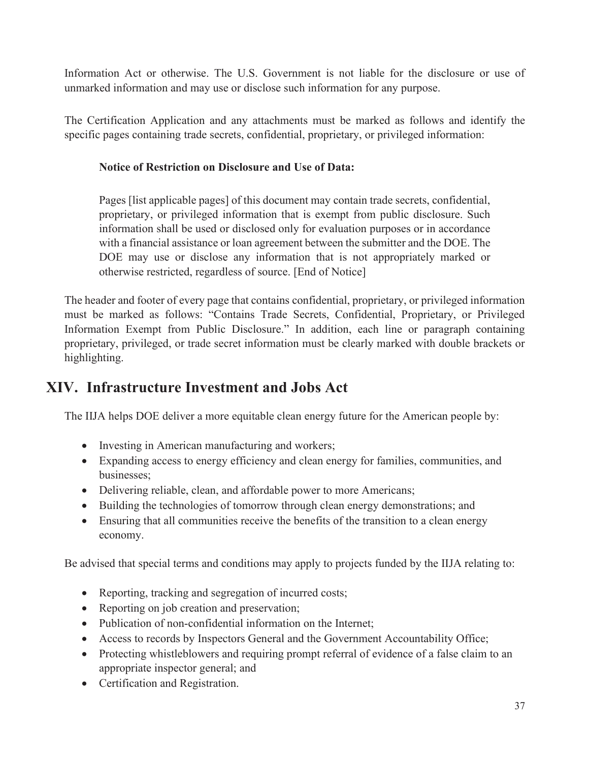Information Act or otherwise. The U.S. Government is not liable for the disclosure or use of unmarked information and may use or disclose such information for any purpose.

The Certification Application and any attachments must be marked as follows and identify the specific pages containing trade secrets, confidential, proprietary, or privileged information:

#### **Notice of Restriction on Disclosure and Use of Data:**

Pages [list applicable pages] of this document may contain trade secrets, confidential, proprietary, or privileged information that is exempt from public disclosure. Such information shall be used or disclosed only for evaluation purposes or in accordance with a financial assistance or loan agreement between the submitter and the DOE. The DOE may use or disclose any information that is not appropriately marked or otherwise restricted, regardless of source. [End of Notice]

The header and footer of every page that contains confidential, proprietary, or privileged information must be marked as follows: "Contains Trade Secrets, Confidential, Proprietary, or Privileged Information Exempt from Public Disclosure." In addition, each line or paragraph containing proprietary, privileged, or trade secret information must be clearly marked with double brackets or highlighting.

## **XIV. Infrastructure Investment and Jobs Act**

The IIJA helps DOE deliver a more equitable clean energy future for the American people by:

- Investing in American manufacturing and workers;
- · Expanding access to energy efficiency and clean energy for families, communities, and businesses;
- Delivering reliable, clean, and affordable power to more Americans;
- · Building the technologies of tomorrow through clean energy demonstrations; and
- Ensuring that all communities receive the benefits of the transition to a clean energy economy.

Be advised that special terms and conditions may apply to projects funded by the IIJA relating to:

- Reporting, tracking and segregation of incurred costs;
- Reporting on job creation and preservation;
- Publication of non-confidential information on the Internet;
- · Access to records by Inspectors General and the Government Accountability Office;
- Protecting whistleblowers and requiring prompt referral of evidence of a false claim to an appropriate inspector general; and
- · Certification and Registration.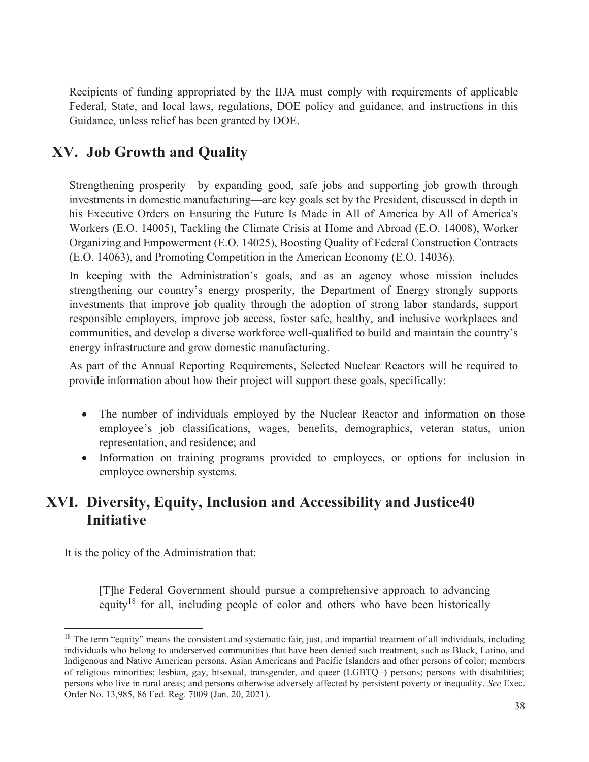Recipients of funding appropriated by the IIJA must comply with requirements of applicable Federal, State, and local laws, regulations, DOE policy and guidance, and instructions in this Guidance, unless relief has been granted by DOE.

## **XV. Job Growth and Quality**

Strengthening prosperity—by expanding good, safe jobs and supporting job growth through investments in domestic manufacturing—are key goals set by the President, discussed in depth in his Executive Orders on Ensuring the Future Is Made in All of America by All of America's Workers (E.O. 14005), Tackling the Climate Crisis at Home and Abroad (E.O. 14008), Worker Organizing and Empowerment (E.O. 14025), Boosting Quality of Federal Construction Contracts (E.O. 14063), and Promoting Competition in the American Economy (E.O. 14036).

In keeping with the Administration's goals, and as an agency whose mission includes strengthening our country's energy prosperity, the Department of Energy strongly supports investments that improve job quality through the adoption of strong labor standards, support responsible employers, improve job access, foster safe, healthy, and inclusive workplaces and communities, and develop a diverse workforce well-qualified to build and maintain the country's energy infrastructure and grow domestic manufacturing.

As part of the Annual Reporting Requirements, Selected Nuclear Reactors will be required to provide information about how their project will support these goals, specifically:

- The number of individuals employed by the Nuclear Reactor and information on those employee's job classifications, wages, benefits, demographics, veteran status, union representation, and residence; and
- · Information on training programs provided to employees, or options for inclusion in employee ownership systems.

## **XVI. Diversity, Equity, Inclusion and Accessibility and Justice40 Initiative**

It is the policy of the Administration that:

[T]he Federal Government should pursue a comprehensive approach to advancing equity<sup>18</sup> for all, including people of color and others who have been historically

 $18$  The term "equity" means the consistent and systematic fair, just, and impartial treatment of all individuals, including individuals who belong to underserved communities that have been denied such treatment, such as Black, Latino, and Indigenous and Native American persons, Asian Americans and Pacific Islanders and other persons of color; members of religious minorities; lesbian, gay, bisexual, transgender, and queer (LGBTQ+) persons; persons with disabilities; persons who live in rural areas; and persons otherwise adversely affected by persistent poverty or inequality. *See* Exec. Order No. 13,985, 86 Fed. Reg. 7009 (Jan. 20, 2021).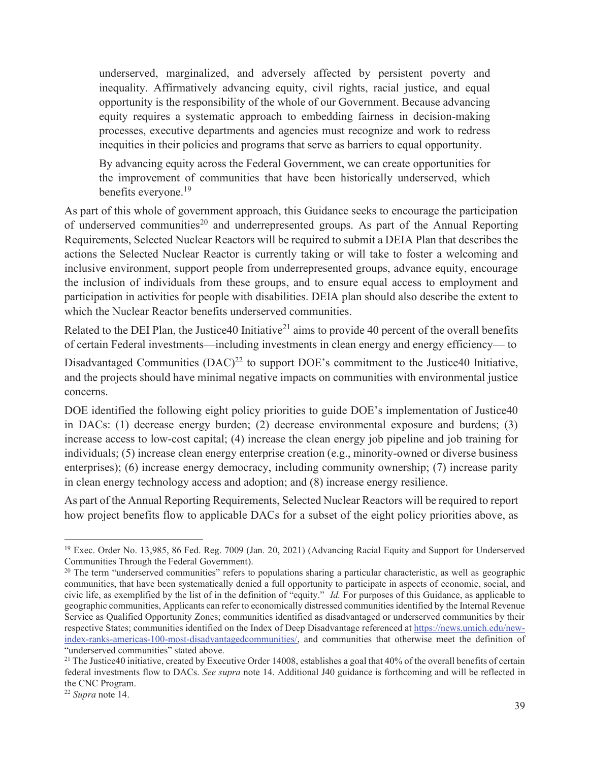underserved, marginalized, and adversely affected by persistent poverty and inequality. Affirmatively advancing equity, civil rights, racial justice, and equal opportunity is the responsibility of the whole of our Government. Because advancing equity requires a systematic approach to embedding fairness in decision‐making processes, executive departments and agencies must recognize and work to redress inequities in their policies and programs that serve as barriers to equal opportunity.

By advancing equity across the Federal Government, we can create opportunities for the improvement of communities that have been historically underserved, which benefits everyone.<sup>19</sup>

As part of this whole of government approach, this Guidance seeks to encourage the participation of underserved communities<sup>20</sup> and underrepresented groups. As part of the Annual Reporting Requirements, Selected Nuclear Reactors will be required to submit a DEIA Plan that describes the actions the Selected Nuclear Reactor is currently taking or will take to foster a welcoming and inclusive environment, support people from underrepresented groups, advance equity, encourage the inclusion of individuals from these groups, and to ensure equal access to employment and participation in activities for people with disabilities. DEIA plan should also describe the extent to which the Nuclear Reactor benefits underserved communities.

Related to the DEI Plan, the Justice40 Initiative<sup>21</sup> aims to provide 40 percent of the overall benefits of certain Federal investments—including investments in clean energy and energy efficiency— to

Disadvantaged Communities  $(DAC)^{22}$  to support DOE's commitment to the Justice40 Initiative, and the projects should have minimal negative impacts on communities with environmental justice concerns.

DOE identified the following eight policy priorities to guide DOE's implementation of Justice40 in DACs: (1) decrease energy burden; (2) decrease environmental exposure and burdens; (3) increase access to low‐cost capital; (4) increase the clean energy job pipeline and job training for individuals; (5) increase clean energy enterprise creation (e.g., minority-owned or diverse business enterprises); (6) increase energy democracy, including community ownership; (7) increase parity in clean energy technology access and adoption; and (8) increase energy resilience.

As part of the Annual Reporting Requirements, Selected Nuclear Reactors will be required to report how project benefits flow to applicable DACs for a subset of the eight policy priorities above, as

<sup>&</sup>lt;sup>19</sup> Exec. Order No. 13,985, 86 Fed. Reg. 7009 (Jan. 20, 2021) (Advancing Racial Equity and Support for Underserved Communities Through the Federal Government).

 $20$  The term "underserved communities" refers to populations sharing a particular characteristic, as well as geographic communities, that have been systematically denied a full opportunity to participate in aspects of economic, social, and civic life, as exemplified by the list of in the definition of "equity." *Id.* For purposes of this Guidance, as applicable to geographic communities, Applicants can refer to economically distressed communities identified by the Internal Revenue Service as Qualified Opportunity Zones; communities identified as disadvantaged or underserved communities by their respective States; communities identified on the Index of Deep Disadvantage referenced at https://news.umich.edu/new‐ index-ranks-americas-100-most-disadvantagedcommunities/, and communities that otherwise meet the definition of "underserved communities" stated above.

 $21$  The Justice40 initiative, created by Executive Order 14008, establishes a goal that 40% of the overall benefits of certain federal investments flow to DACs. *See supra* note 14. Additional J40 guidance is forthcoming and will be reflected in the CNC Program.

<sup>22</sup> *Supra* note 14.